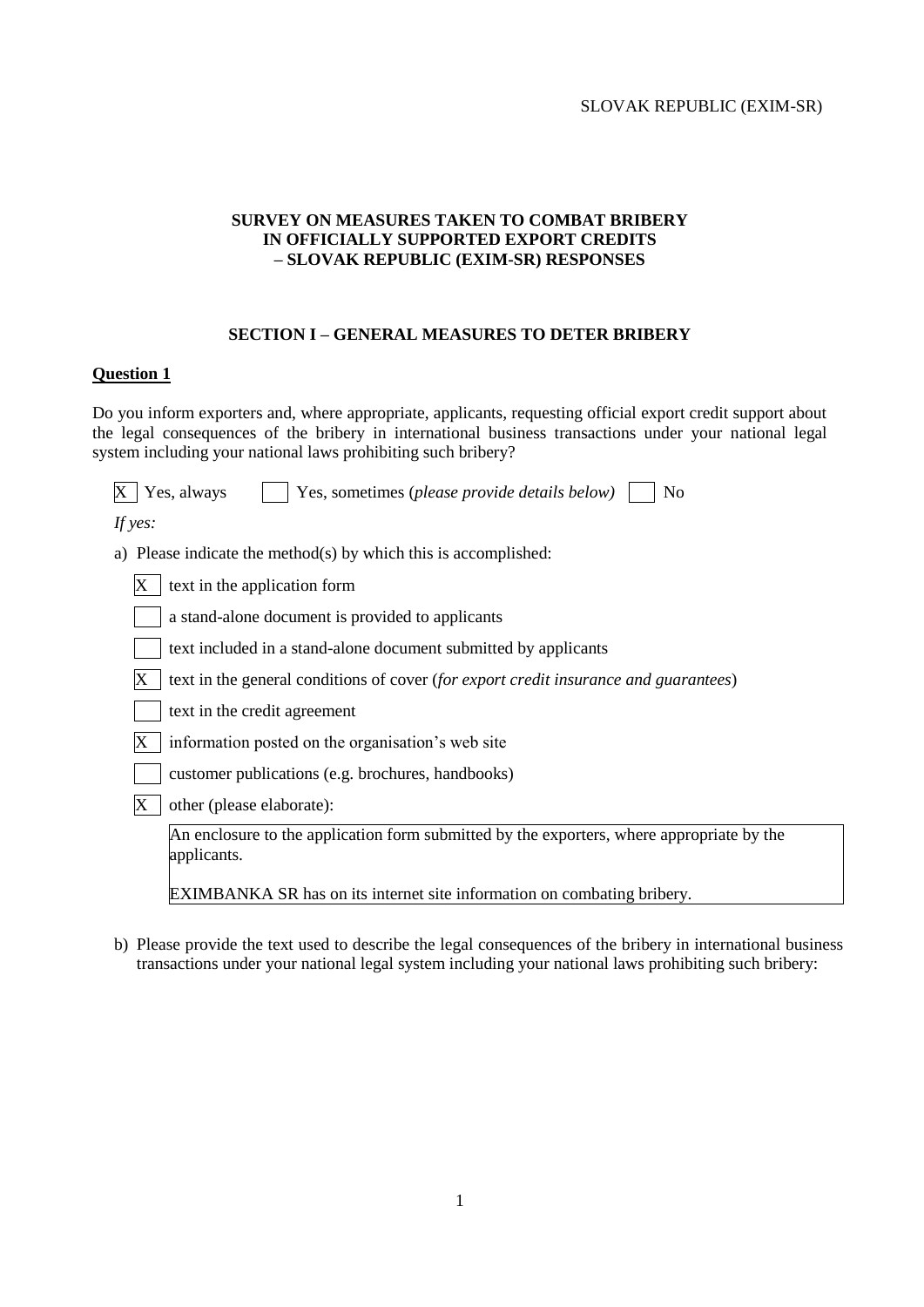#### **SURVEY ON MEASURES TAKEN TO COMBAT BRIBERY IN OFFICIALLY SUPPORTED EXPORT CREDITS – SLOVAK REPUBLIC (EXIM-SR) RESPONSES**

#### **SECTION I – GENERAL MEASURES TO DETER BRIBERY**

#### **Question 1**

Do you inform exporters and, where appropriate, applicants, requesting official export credit support about the legal consequences of the bribery in international business transactions under your national legal system including your national laws prohibiting such bribery?

| X<br>Yes, always<br>N <sub>o</sub><br>Yes, sometimes (please provide details below)                      |
|----------------------------------------------------------------------------------------------------------|
| If yes:                                                                                                  |
| Please indicate the method(s) by which this is accomplished:<br>a)                                       |
| text in the application form<br>Х                                                                        |
| a stand-alone document is provided to applicants                                                         |
| text included in a stand-alone document submitted by applicants                                          |
| text in the general conditions of cover (for export credit insurance and guarantees)                     |
| text in the credit agreement                                                                             |
| information posted on the organisation's web site                                                        |
| customer publications (e.g. brochures, handbooks)                                                        |
| other (please elaborate):<br>Х                                                                           |
| An enclosure to the application form submitted by the exporters, where appropriate by the<br>applicants. |
| <b>EXIMBANKA SR</b> has on its internet site information on combating bribery.                           |

b) Please provide the text used to describe the legal consequences of the bribery in international business transactions under your national legal system including your national laws prohibiting such bribery: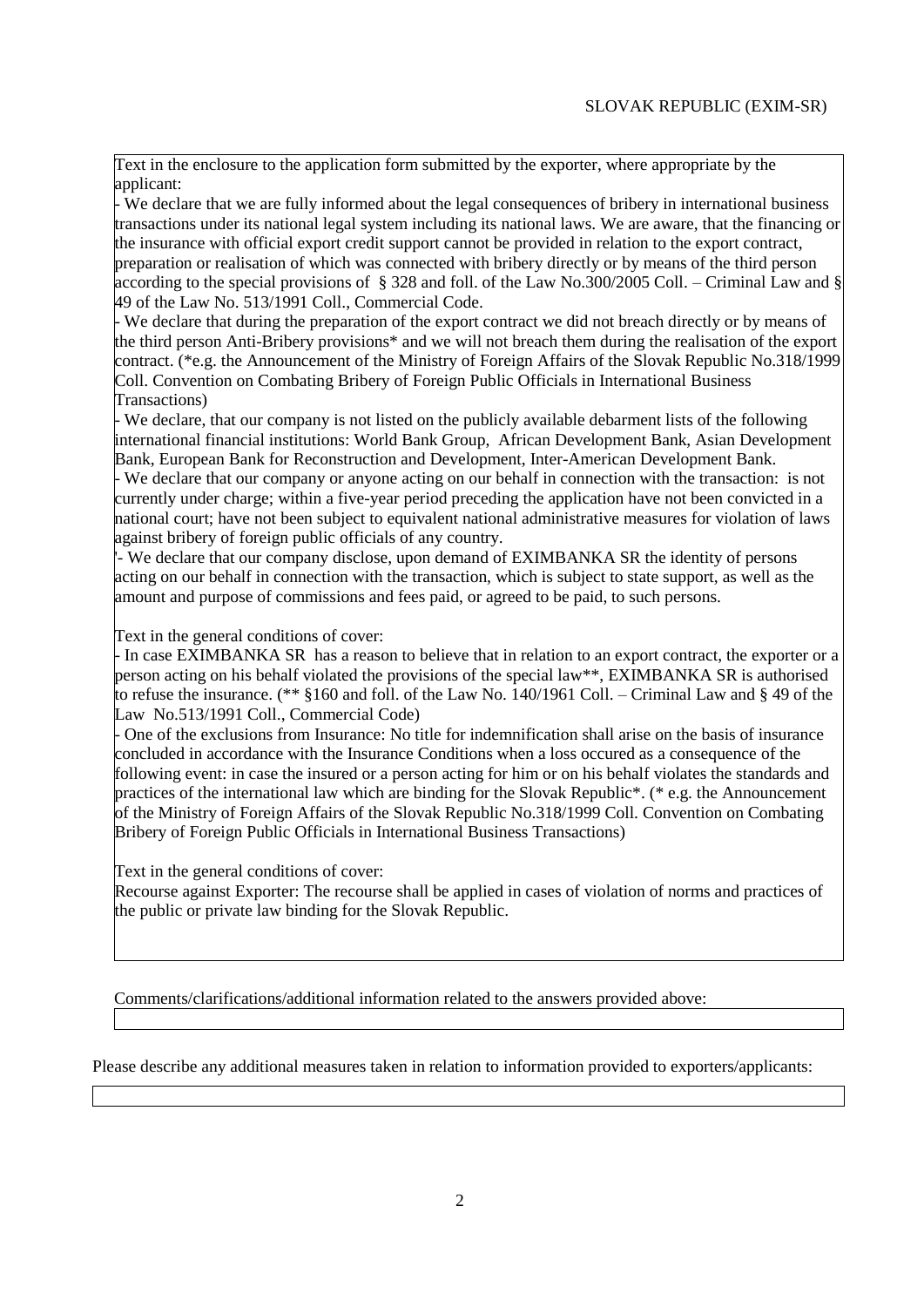Text in the enclosure to the application form submitted by the exporter, where appropriate by the applicant:

- We declare that we are fully informed about the legal consequences of bribery in international business transactions under its national legal system including its national laws. We are aware, that the financing or the insurance with official export credit support cannot be provided in relation to the export contract, preparation or realisation of which was connected with bribery directly or by means of the third person according to the special provisions of § 328 and foll. of the Law No.300/2005 Coll. – Criminal Law and § 49 of the Law No. 513/1991 Coll., Commercial Code.

- We declare that during the preparation of the export contract we did not breach directly or by means of the third person Anti-Bribery provisions\* and we will not breach them during the realisation of the export contract. (\*e.g. the Announcement of the Ministry of Foreign Affairs of the Slovak Republic No.318/1999 Coll. Convention on Combating Bribery of Foreign Public Officials in International Business Transactions)

- We declare, that our company is not listed on the publicly available debarment lists of the following international financial institutions: World Bank Group, African Development Bank, Asian Development Bank, European Bank for Reconstruction and Development, Inter-American Development Bank.

- We declare that our company or anyone acting on our behalf in connection with the transaction: is not currently under charge; within a five-year period preceding the application have not been convicted in a national court; have not been subject to equivalent national administrative measures for violation of laws against bribery of foreign public officials of any country.

'- We declare that our company disclose, upon demand of EXIMBANKA SR the identity of persons acting on our behalf in connection with the transaction, which is subject to state support, as well as the amount and purpose of commissions and fees paid, or agreed to be paid, to such persons.

Text in the general conditions of cover:

- In case EXIMBANKA SR has a reason to believe that in relation to an export contract, the exporter or a person acting on his behalf violated the provisions of the special law\*\*, EXIMBANKA SR is authorised to refuse the insurance. (\*\* §160 and foll. of the Law No. 140/1961 Coll. – Criminal Law and § 49 of the Law No.513/1991 Coll., Commercial Code)

- One of the exclusions from Insurance: No title for indemnification shall arise on the basis of insurance concluded in accordance with the Insurance Conditions when a loss occured as a consequence of the following event: in case the insured or a person acting for him or on his behalf violates the standards and practices of the international law which are binding for the Slovak Republic\*. (\* e.g. the Announcement of the Ministry of Foreign Affairs of the Slovak Republic No.318/1999 Coll. Convention on Combating Bribery of Foreign Public Officials in International Business Transactions)

Text in the general conditions of cover:

Recourse against Exporter: The recourse shall be applied in cases of violation of norms and practices of the public or private law binding for the Slovak Republic.

Comments/clarifications/additional information related to the answers provided above:

Please describe any additional measures taken in relation to information provided to exporters/applicants: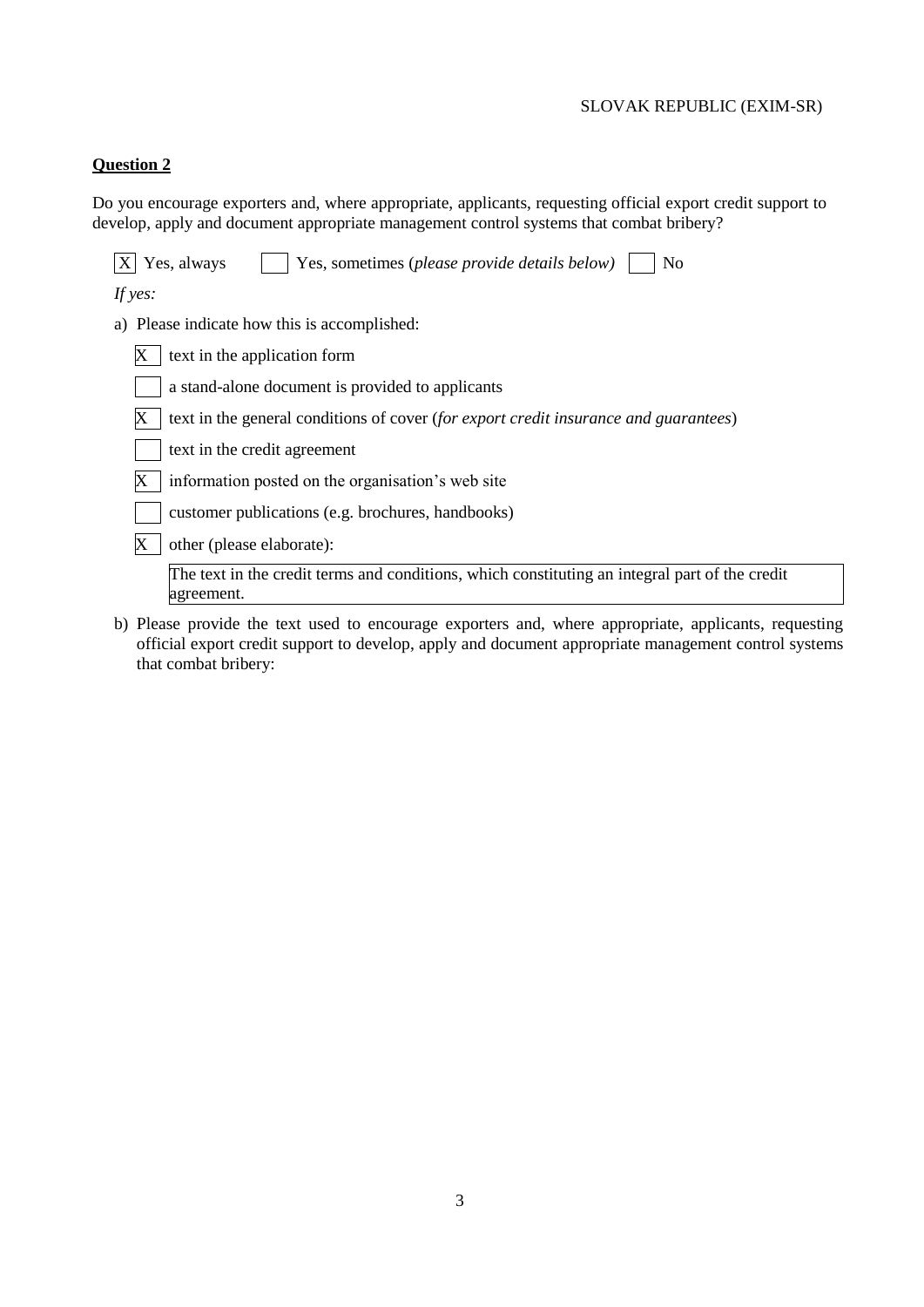# **Question 2**

Do you encourage exporters and, where appropriate, applicants, requesting official export credit support to develop, apply and document appropriate management control systems that combat bribery?

| Yes, always<br>Yes, sometimes (please provide details below)<br>No                                           |
|--------------------------------------------------------------------------------------------------------------|
| If yes:                                                                                                      |
| a) Please indicate how this is accomplished:                                                                 |
| text in the application form                                                                                 |
| a stand-alone document is provided to applicants                                                             |
| text in the general conditions of cover (for export credit insurance and guarantees)                         |
| text in the credit agreement                                                                                 |
| information posted on the organisation's web site                                                            |
| customer publications (e.g. brochures, handbooks)                                                            |
| other (please elaborate):                                                                                    |
| The text in the credit terms and conditions, which constituting an integral part of the credit<br>agreement. |
|                                                                                                              |

b) Please provide the text used to encourage exporters and, where appropriate, applicants, requesting official export credit support to develop, apply and document appropriate management control systems that combat bribery: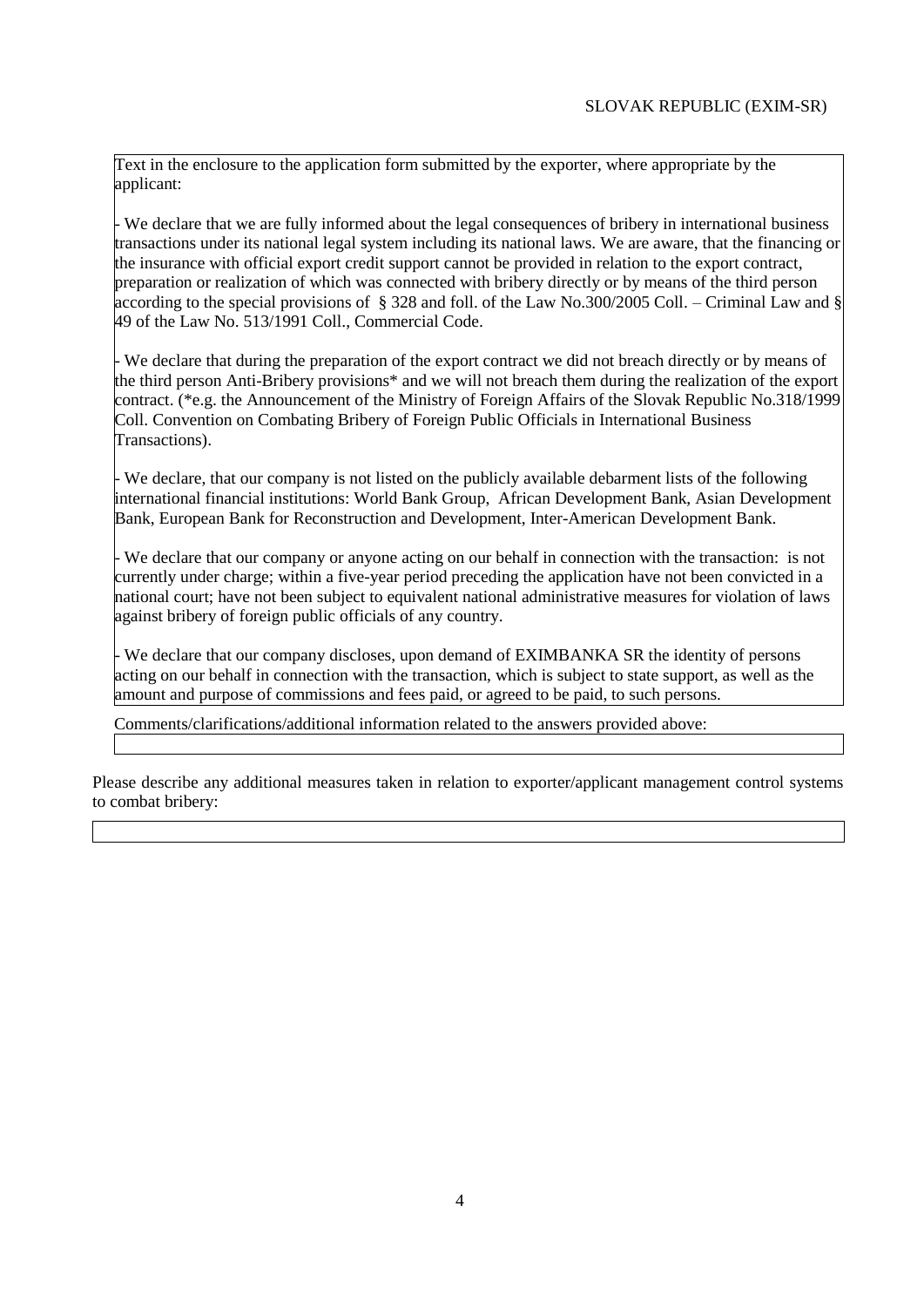Text in the enclosure to the application form submitted by the exporter, where appropriate by the applicant:

- We declare that we are fully informed about the legal consequences of bribery in international business transactions under its national legal system including its national laws. We are aware, that the financing or the insurance with official export credit support cannot be provided in relation to the export contract, preparation or realization of which was connected with bribery directly or by means of the third person according to the special provisions of § 328 and foll. of the Law No.300/2005 Coll. – Criminal Law and § 49 of the Law No. 513/1991 Coll., Commercial Code.

- We declare that during the preparation of the export contract we did not breach directly or by means of the third person Anti-Bribery provisions\* and we will not breach them during the realization of the export contract. (\*e.g. the Announcement of the Ministry of Foreign Affairs of the Slovak Republic No.318/1999 Coll. Convention on Combating Bribery of Foreign Public Officials in International Business Transactions).

- We declare, that our company is not listed on the publicly available debarment lists of the following international financial institutions: World Bank Group, African Development Bank, Asian Development Bank, European Bank for Reconstruction and Development, Inter-American Development Bank.

- We declare that our company or anyone acting on our behalf in connection with the transaction: is not currently under charge; within a five-year period preceding the application have not been convicted in a national court; have not been subject to equivalent national administrative measures for violation of laws against bribery of foreign public officials of any country.

- We declare that our company discloses, upon demand of EXIMBANKA SR the identity of persons acting on our behalf in connection with the transaction, which is subject to state support, as well as the amount and purpose of commissions and fees paid, or agreed to be paid, to such persons.

Comments/clarifications/additional information related to the answers provided above:

Please describe any additional measures taken in relation to exporter/applicant management control systems to combat bribery: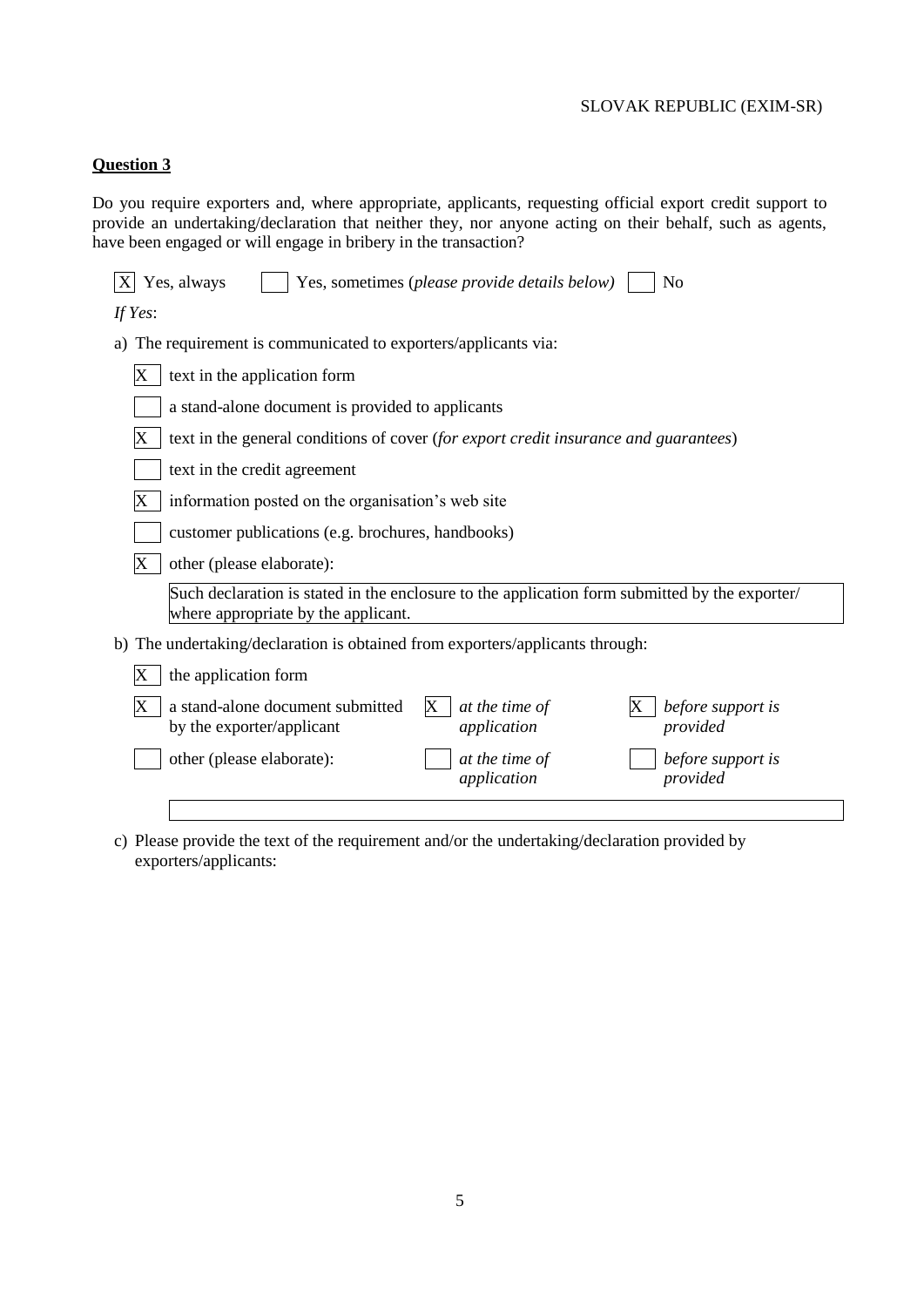# **Question 3**

Do you require exporters and, where appropriate, applicants, requesting official export credit support to provide an undertaking/declaration that neither they, nor anyone acting on their behalf, such as agents, have been engaged or will engage in bribery in the transaction?

| Yes, always<br>N <sub>0</sub><br>Yes, sometimes (please provide details below)                                                        |  |  |  |  |  |  |  |  |  |
|---------------------------------------------------------------------------------------------------------------------------------------|--|--|--|--|--|--|--|--|--|
| If Yes:                                                                                                                               |  |  |  |  |  |  |  |  |  |
| The requirement is communicated to exporters/applicants via:<br>a)                                                                    |  |  |  |  |  |  |  |  |  |
| text in the application form<br>Х                                                                                                     |  |  |  |  |  |  |  |  |  |
| a stand-alone document is provided to applicants                                                                                      |  |  |  |  |  |  |  |  |  |
| text in the general conditions of cover (for export credit insurance and guarantees)                                                  |  |  |  |  |  |  |  |  |  |
| text in the credit agreement                                                                                                          |  |  |  |  |  |  |  |  |  |
| information posted on the organisation's web site                                                                                     |  |  |  |  |  |  |  |  |  |
| customer publications (e.g. brochures, handbooks)                                                                                     |  |  |  |  |  |  |  |  |  |
| other (please elaborate):                                                                                                             |  |  |  |  |  |  |  |  |  |
| Such declaration is stated in the enclosure to the application form submitted by the exporter/<br>where appropriate by the applicant. |  |  |  |  |  |  |  |  |  |
| The undertaking/declaration is obtained from exporters/applicants through:<br>b)                                                      |  |  |  |  |  |  |  |  |  |
| the application form                                                                                                                  |  |  |  |  |  |  |  |  |  |
| a stand-alone document submitted<br>at the time of<br>before support is<br>X<br>application<br>provided<br>by the exporter/applicant  |  |  |  |  |  |  |  |  |  |
| other (please elaborate):<br>at the time of<br>before support is<br>application<br>provided                                           |  |  |  |  |  |  |  |  |  |
|                                                                                                                                       |  |  |  |  |  |  |  |  |  |

c) Please provide the text of the requirement and/or the undertaking/declaration provided by exporters/applicants: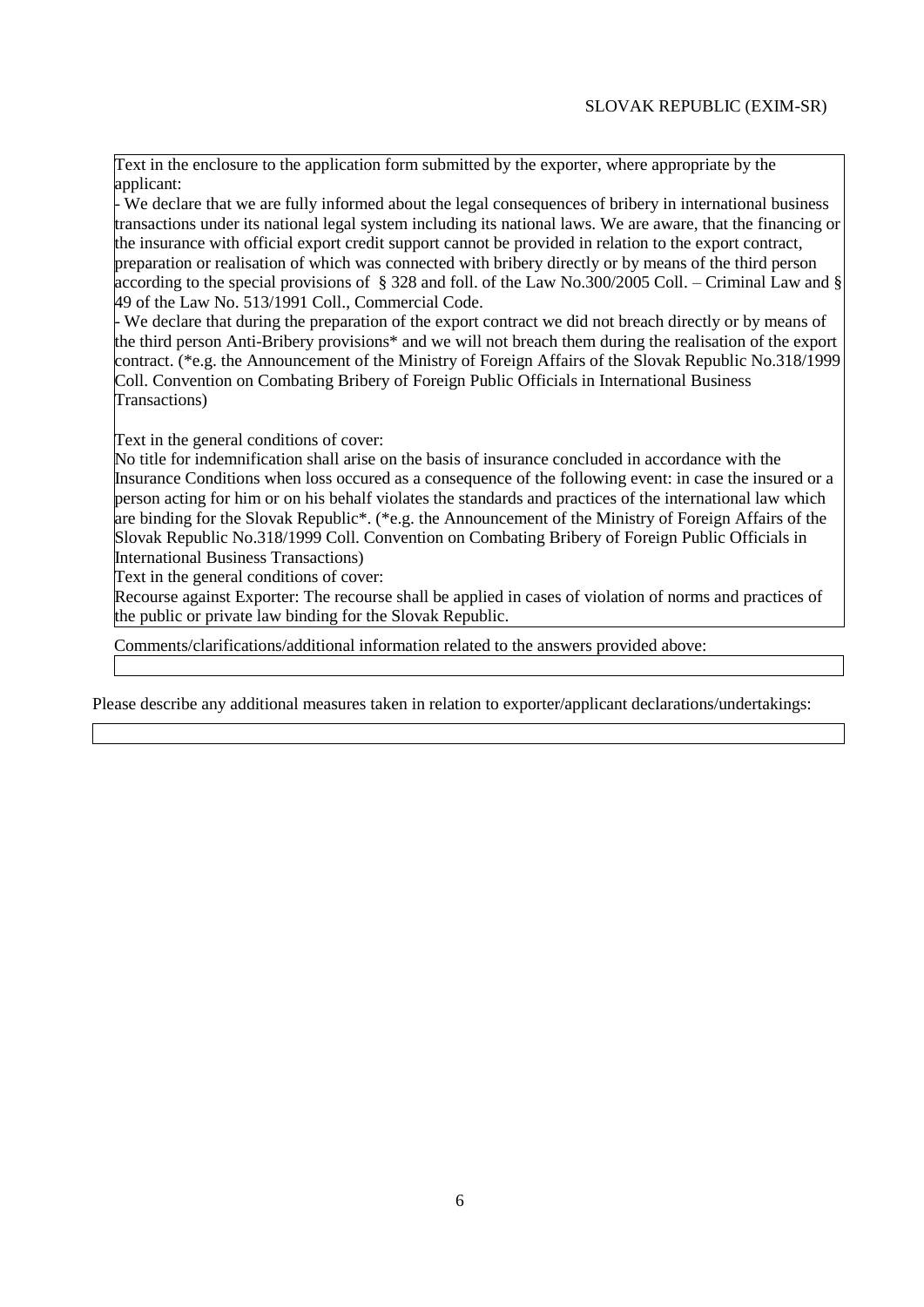Text in the enclosure to the application form submitted by the exporter, where appropriate by the applicant:

- We declare that we are fully informed about the legal consequences of bribery in international business transactions under its national legal system including its national laws. We are aware, that the financing or the insurance with official export credit support cannot be provided in relation to the export contract, preparation or realisation of which was connected with bribery directly or by means of the third person according to the special provisions of § 328 and foll. of the Law No.300/2005 Coll. – Criminal Law and § 49 of the Law No. 513/1991 Coll., Commercial Code.

- We declare that during the preparation of the export contract we did not breach directly or by means of the third person Anti-Bribery provisions\* and we will not breach them during the realisation of the export contract. (\*e.g. the Announcement of the Ministry of Foreign Affairs of the Slovak Republic No.318/1999 Coll. Convention on Combating Bribery of Foreign Public Officials in International Business Transactions)

Text in the general conditions of cover:

No title for indemnification shall arise on the basis of insurance concluded in accordance with the Insurance Conditions when loss occured as a consequence of the following event: in case the insured or a person acting for him or on his behalf violates the standards and practices of the international law which are binding for the Slovak Republic\*. (\*e.g. the Announcement of the Ministry of Foreign Affairs of the Slovak Republic No.318/1999 Coll. Convention on Combating Bribery of Foreign Public Officials in International Business Transactions)

Text in the general conditions of cover:

Recourse against Exporter: The recourse shall be applied in cases of violation of norms and practices of the public or private law binding for the Slovak Republic.

Comments/clarifications/additional information related to the answers provided above:

Please describe any additional measures taken in relation to exporter/applicant declarations/undertakings: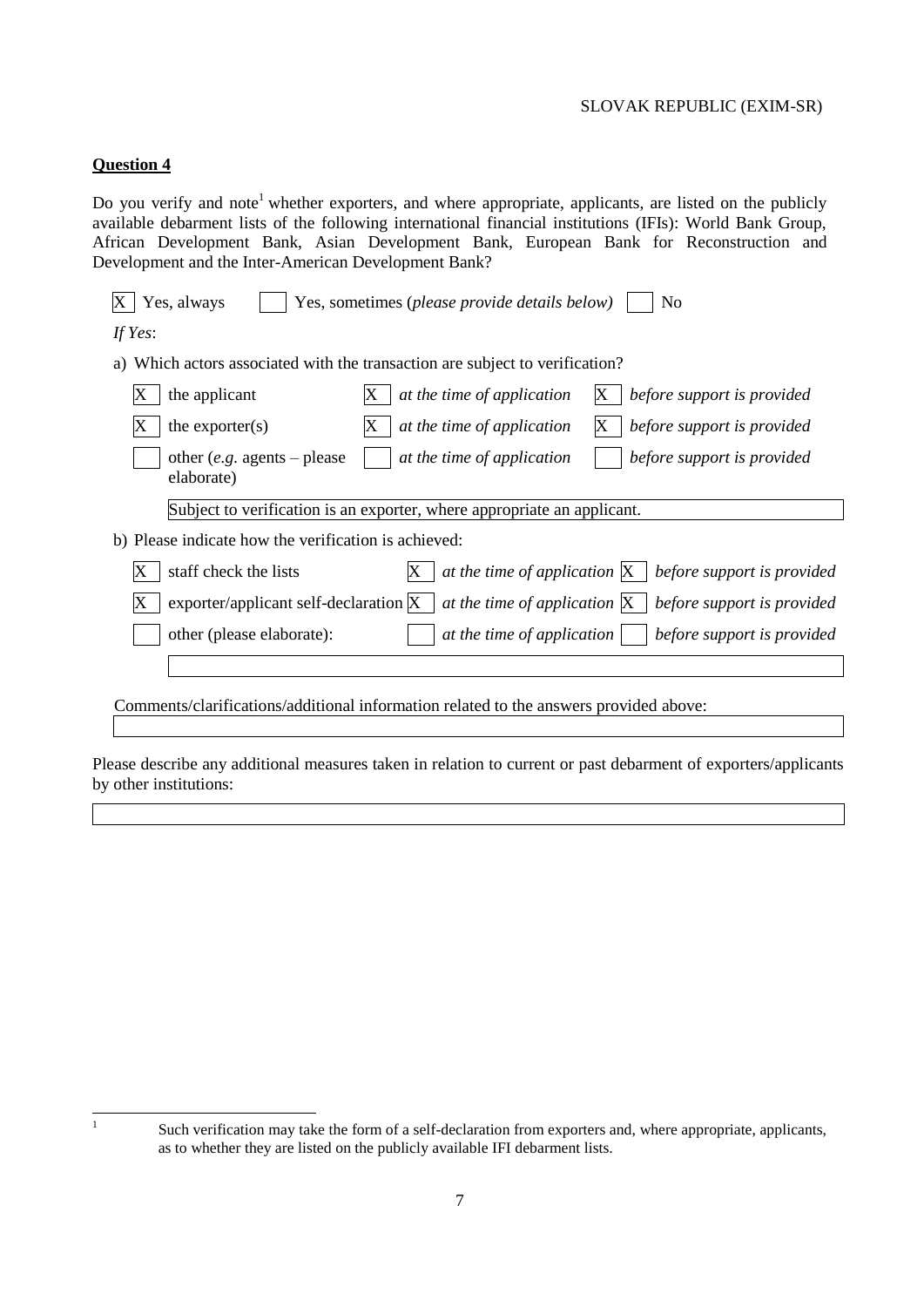# **Question 4**

Do you verify and note<sup>1</sup> whether exporters, and where appropriate, applicants, are listed on the publicly available debarment lists of the following international financial institutions (IFIs): World Bank Group, African Development Bank, Asian Development Bank, European Bank for Reconstruction and Development and the Inter-American Development Bank?

| If Yes:                                                                                                       |  |  |  |  |  |  |  |  |  |
|---------------------------------------------------------------------------------------------------------------|--|--|--|--|--|--|--|--|--|
| Which actors associated with the transaction are subject to verification?<br>a)                               |  |  |  |  |  |  |  |  |  |
| the applicant<br>at the time of application<br>before support is provided<br>Х<br>X                           |  |  |  |  |  |  |  |  |  |
| the exporter $(s)$<br>at the time of application<br>before support is provided<br>X.                          |  |  |  |  |  |  |  |  |  |
| other ( <i>e.g.</i> agents – please<br>at the time of application<br>before support is provided<br>elaborate) |  |  |  |  |  |  |  |  |  |
| Subject to verification is an exporter, where appropriate an applicant.                                       |  |  |  |  |  |  |  |  |  |
| b) Please indicate how the verification is achieved:                                                          |  |  |  |  |  |  |  |  |  |
| at the time of application $X \mid$ before support is provided<br>staff check the lists                       |  |  |  |  |  |  |  |  |  |
| exporter/applicant self-declaration X<br>at the time of application $X \mid$ before support is provided       |  |  |  |  |  |  |  |  |  |
| other (please elaborate):<br>at the time of application $\vert \cdot \vert$ before support is provided        |  |  |  |  |  |  |  |  |  |
|                                                                                                               |  |  |  |  |  |  |  |  |  |
| Comments/clarifications/additional information related to the answers provided above:                         |  |  |  |  |  |  |  |  |  |

Please describe any additional measures taken in relation to current or past debarment of exporters/applicants by other institutions:

|<br>|<br>|

Such verification may take the form of a self-declaration from exporters and, where appropriate, applicants, as to whether they are listed on the publicly available IFI debarment lists.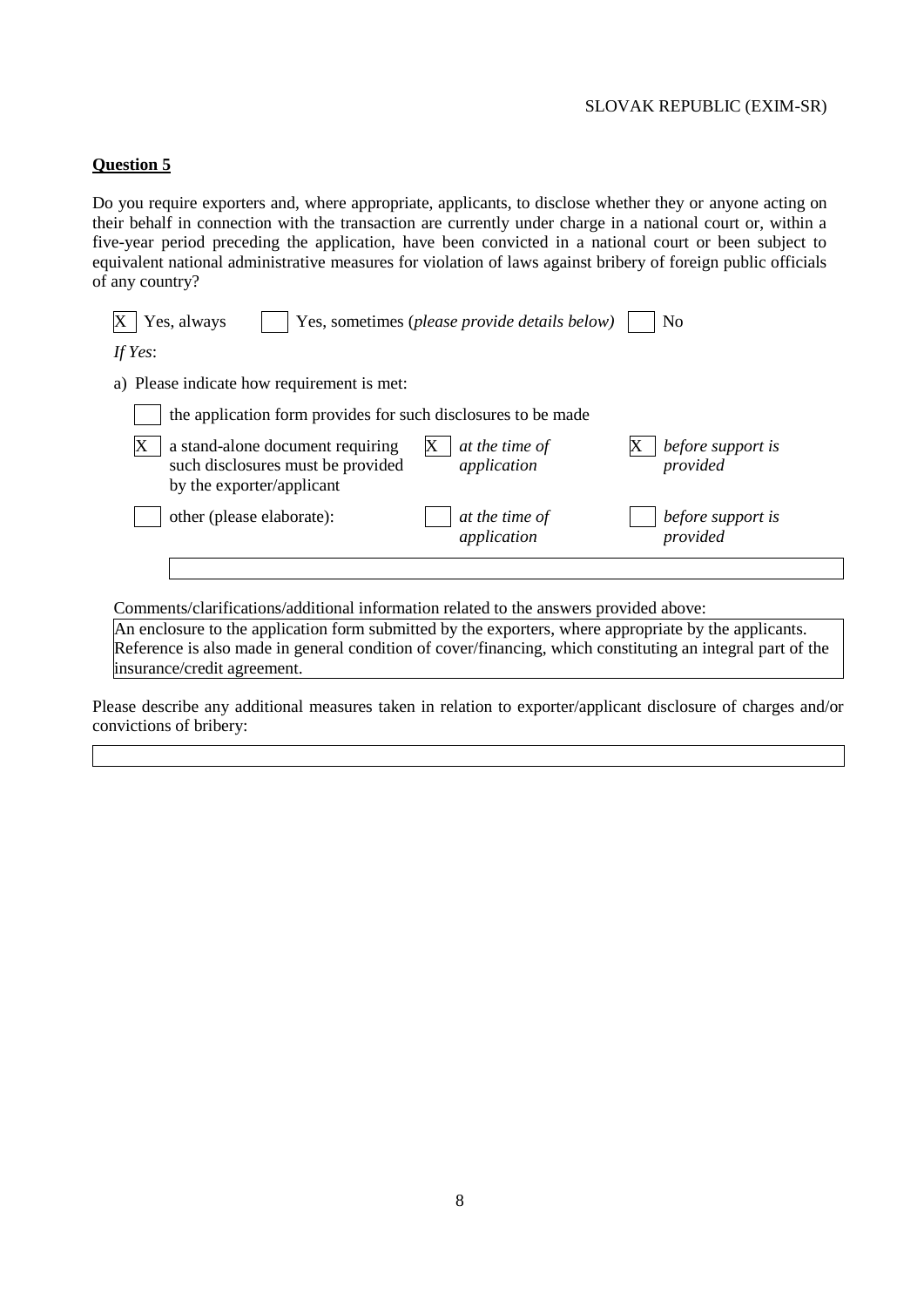#### **Question 5**

Do you require exporters and, where appropriate, applicants, to disclose whether they or anyone acting on their behalf in connection with the transaction are currently under charge in a national court or, within a five-year period preceding the application, have been convicted in a national court or been subject to equivalent national administrative measures for violation of laws against bribery of foreign public officials of any country?

| Yes, always<br>Yes, sometimes (please provide details below)                                       | No                                                             |
|----------------------------------------------------------------------------------------------------|----------------------------------------------------------------|
| If Yes:                                                                                            |                                                                |
| a) Please indicate how requirement is met:                                                         |                                                                |
| the application form provides for such disclosures to be made                                      |                                                                |
| a stand-alone document requiring<br>such disclosures must be provided<br>by the exporter/applicant | at the time of<br>before support is<br>application<br>provided |
| other (please elaborate):                                                                          | at the time of<br>before support is<br>application<br>provided |
|                                                                                                    |                                                                |

Comments/clarifications/additional information related to the answers provided above:

An enclosure to the application form submitted by the exporters, where appropriate by the applicants. Reference is also made in general condition of cover/financing, which constituting an integral part of the insurance/credit agreement.

Please describe any additional measures taken in relation to exporter/applicant disclosure of charges and/or convictions of bribery: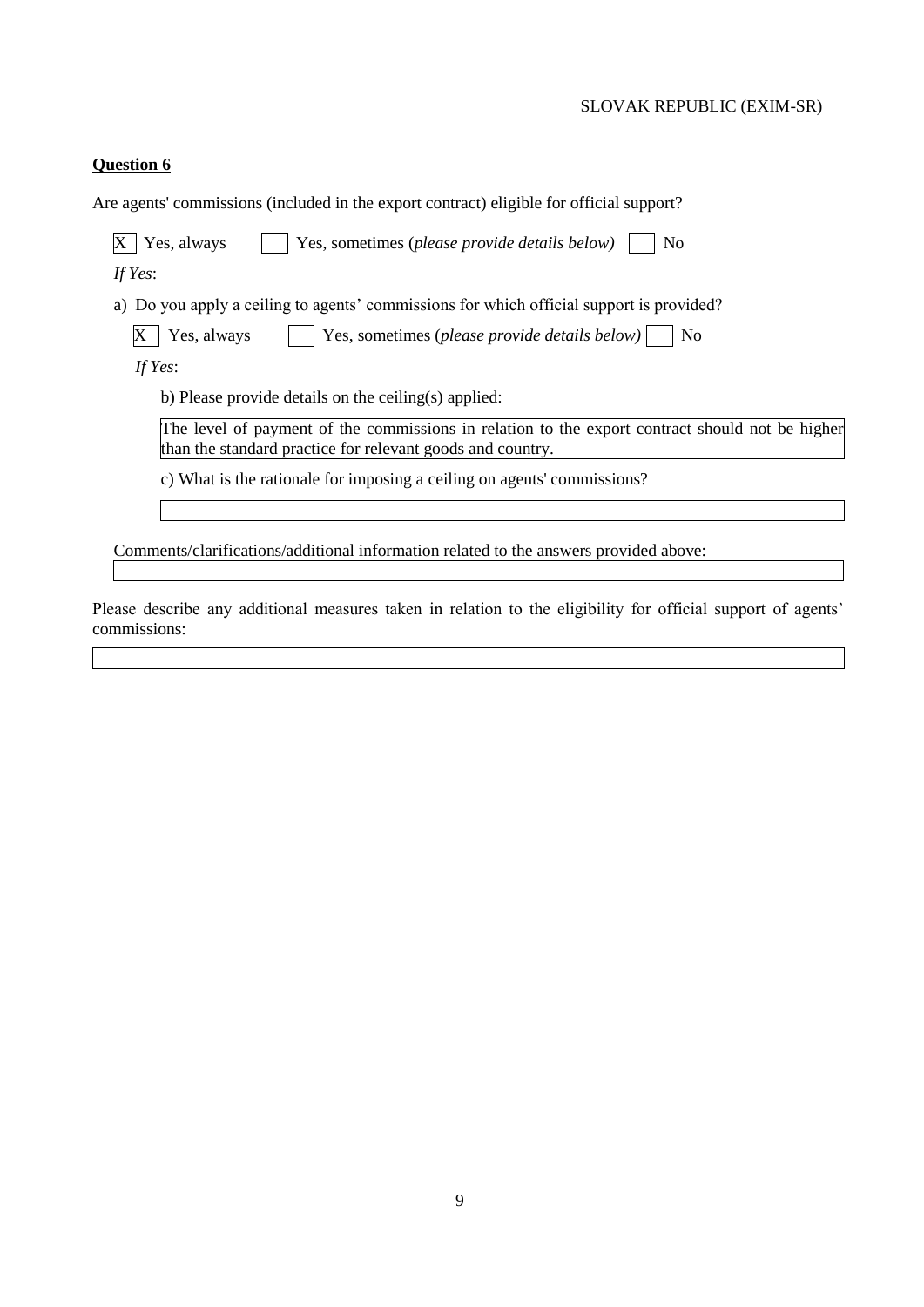# **Question 6**

| Are agents' commissions (included in the export contract) eligible for official support?                                                                      |  |  |  |  |  |  |  |
|---------------------------------------------------------------------------------------------------------------------------------------------------------------|--|--|--|--|--|--|--|
| Yes, always<br>Yes, sometimes (please provide details below)<br>N <sub>0</sub>                                                                                |  |  |  |  |  |  |  |
| If Yes:                                                                                                                                                       |  |  |  |  |  |  |  |
| a) Do you apply a ceiling to agents' commissions for which official support is provided?                                                                      |  |  |  |  |  |  |  |
| Yes, always<br>Yes, sometimes (please provide details below)<br>N <sub>0</sub>                                                                                |  |  |  |  |  |  |  |
| If Yes:                                                                                                                                                       |  |  |  |  |  |  |  |
| b) Please provide details on the ceiling(s) applied:                                                                                                          |  |  |  |  |  |  |  |
| The level of payment of the commissions in relation to the export contract should not be higher<br>than the standard practice for relevant goods and country. |  |  |  |  |  |  |  |
| c) What is the rationale for imposing a ceiling on agents' commissions?                                                                                       |  |  |  |  |  |  |  |
|                                                                                                                                                               |  |  |  |  |  |  |  |
| Comments/clarifications/additional information related to the answers provided above:                                                                         |  |  |  |  |  |  |  |
|                                                                                                                                                               |  |  |  |  |  |  |  |

Please describe any additional measures taken in relation to the eligibility for official support of agents' commissions: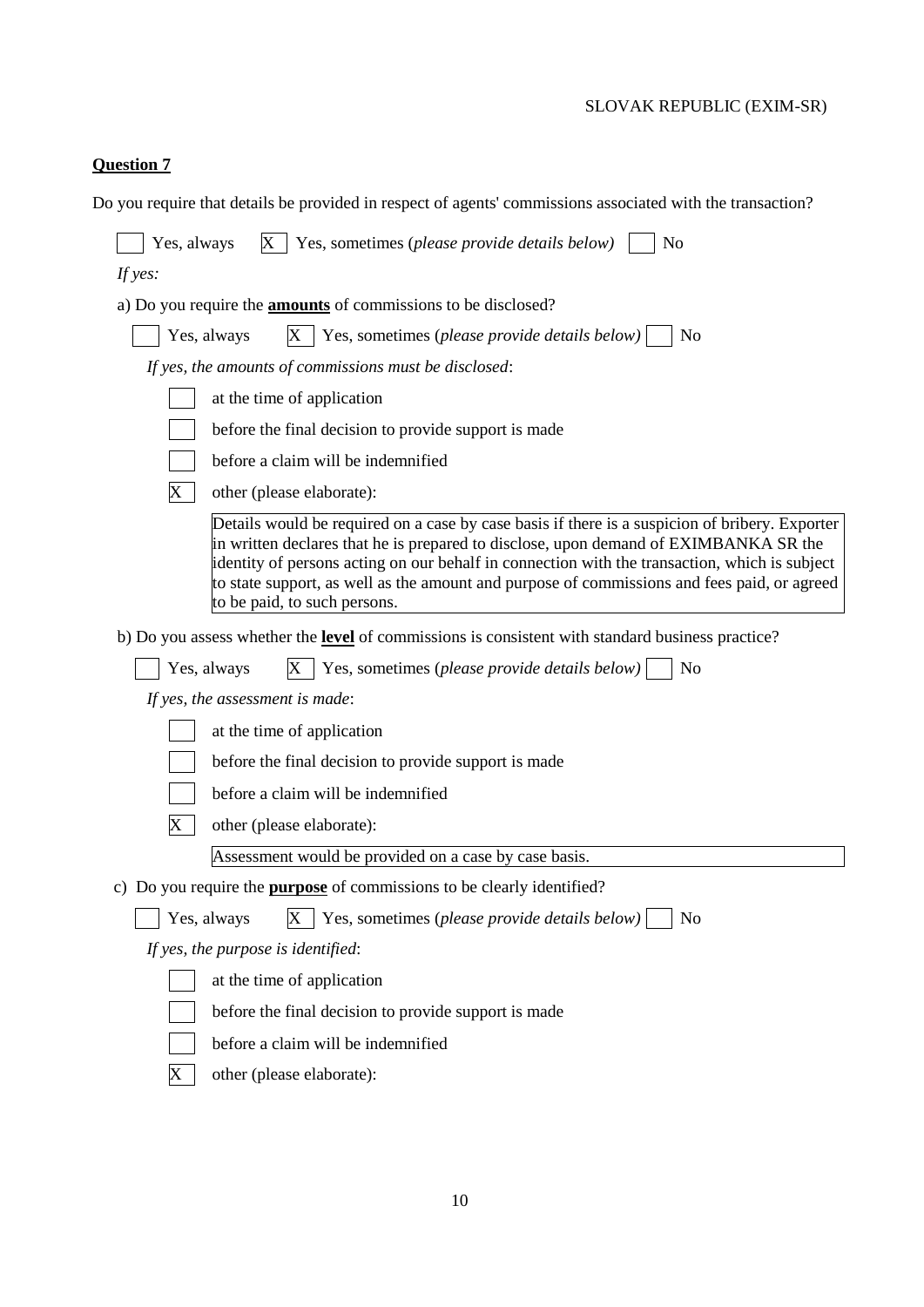# **Question 7**

|  |  |  |  | Do you require that details be provided in respect of agents' commissions associated with the transaction? |
|--|--|--|--|------------------------------------------------------------------------------------------------------------|
|--|--|--|--|------------------------------------------------------------------------------------------------------------|

| Yes, always<br>Yes, sometimes (please provide details below)<br>Х<br>No                                                                                                                                                                                                                                                                                                                                                |  |  |  |  |  |  |  |
|------------------------------------------------------------------------------------------------------------------------------------------------------------------------------------------------------------------------------------------------------------------------------------------------------------------------------------------------------------------------------------------------------------------------|--|--|--|--|--|--|--|
| If yes:                                                                                                                                                                                                                                                                                                                                                                                                                |  |  |  |  |  |  |  |
| a) Do you require the <b>amounts</b> of commissions to be disclosed?                                                                                                                                                                                                                                                                                                                                                   |  |  |  |  |  |  |  |
| Yes, sometimes (please provide details below)<br>Yes, always<br>N <sub>0</sub>                                                                                                                                                                                                                                                                                                                                         |  |  |  |  |  |  |  |
| If yes, the amounts of commissions must be disclosed:                                                                                                                                                                                                                                                                                                                                                                  |  |  |  |  |  |  |  |
| at the time of application                                                                                                                                                                                                                                                                                                                                                                                             |  |  |  |  |  |  |  |
| before the final decision to provide support is made                                                                                                                                                                                                                                                                                                                                                                   |  |  |  |  |  |  |  |
| before a claim will be indemnified                                                                                                                                                                                                                                                                                                                                                                                     |  |  |  |  |  |  |  |
| X<br>other (please elaborate):                                                                                                                                                                                                                                                                                                                                                                                         |  |  |  |  |  |  |  |
| Details would be required on a case by case basis if there is a suspicion of bribery. Exporter<br>in written declares that he is prepared to disclose, upon demand of EXIMBANKA SR the<br>identity of persons acting on our behalf in connection with the transaction, which is subject<br>to state support, as well as the amount and purpose of commissions and fees paid, or agreed<br>to be paid, to such persons. |  |  |  |  |  |  |  |
| b) Do you assess whether the <b>level</b> of commissions is consistent with standard business practice?                                                                                                                                                                                                                                                                                                                |  |  |  |  |  |  |  |
| Yes, sometimes (please provide details below)<br>N <sub>o</sub><br>Yes, always                                                                                                                                                                                                                                                                                                                                         |  |  |  |  |  |  |  |
| If yes, the assessment is made:                                                                                                                                                                                                                                                                                                                                                                                        |  |  |  |  |  |  |  |
| at the time of application                                                                                                                                                                                                                                                                                                                                                                                             |  |  |  |  |  |  |  |
| before the final decision to provide support is made                                                                                                                                                                                                                                                                                                                                                                   |  |  |  |  |  |  |  |
| before a claim will be indemnified                                                                                                                                                                                                                                                                                                                                                                                     |  |  |  |  |  |  |  |
| other (please elaborate):<br>X                                                                                                                                                                                                                                                                                                                                                                                         |  |  |  |  |  |  |  |
| Assessment would be provided on a case by case basis.                                                                                                                                                                                                                                                                                                                                                                  |  |  |  |  |  |  |  |
| c) Do you require the <b>purpose</b> of commissions to be clearly identified?                                                                                                                                                                                                                                                                                                                                          |  |  |  |  |  |  |  |
| X<br>Yes, sometimes (please provide details below)<br>N <sub>o</sub><br>Yes, always                                                                                                                                                                                                                                                                                                                                    |  |  |  |  |  |  |  |
| If yes, the purpose is identified:                                                                                                                                                                                                                                                                                                                                                                                     |  |  |  |  |  |  |  |
| at the time of application                                                                                                                                                                                                                                                                                                                                                                                             |  |  |  |  |  |  |  |
| before the final decision to provide support is made                                                                                                                                                                                                                                                                                                                                                                   |  |  |  |  |  |  |  |
| before a claim will be indemnified                                                                                                                                                                                                                                                                                                                                                                                     |  |  |  |  |  |  |  |
| X<br>other (please elaborate):                                                                                                                                                                                                                                                                                                                                                                                         |  |  |  |  |  |  |  |
|                                                                                                                                                                                                                                                                                                                                                                                                                        |  |  |  |  |  |  |  |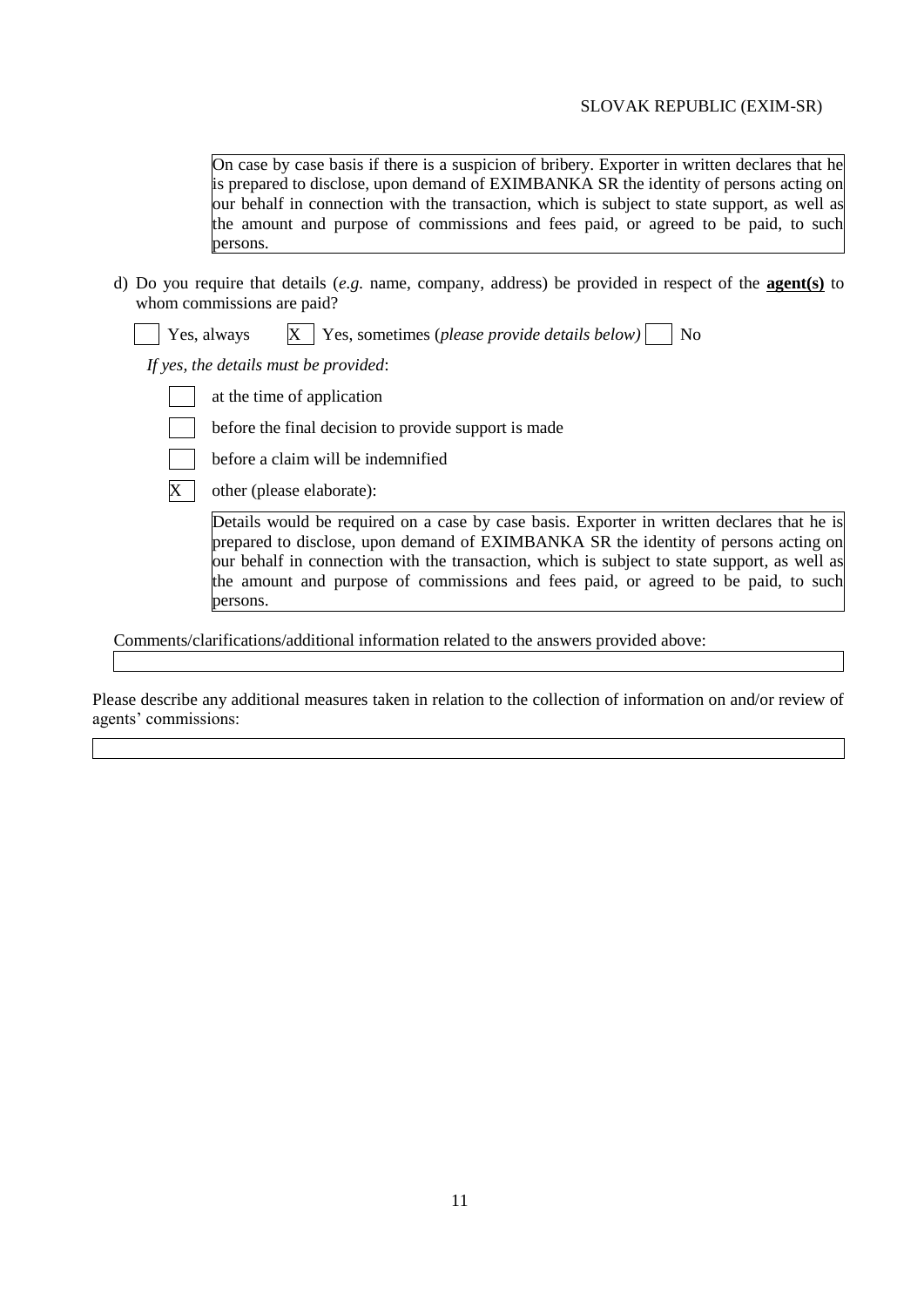On case by case basis if there is a suspicion of bribery. Exporter in written declares that he is prepared to disclose, upon demand of EXIMBANKA SR the identity of persons acting on our behalf in connection with the transaction, which is subject to state support, as well as the amount and purpose of commissions and fees paid, or agreed to be paid, to such persons.

d) Do you require that details (*e.g.* name, company, address) be provided in respect of the **agent(s)** to whom commissions are paid?

|  |  | Yes, always |  | $X \mid$ Yes, sometimes (please provide details below) |  | $\overline{\phantom{1}}$ No |
|--|--|-------------|--|--------------------------------------------------------|--|-----------------------------|
|--|--|-------------|--|--------------------------------------------------------|--|-----------------------------|

*If yes, the details must be provided*:

at the time of application

before the final decision to provide support is made



before a claim will be indemnified

 $\overline{X}$  other (please elaborate):

Details would be required on a case by case basis. Exporter in written declares that he is prepared to disclose, upon demand of EXIMBANKA SR the identity of persons acting on our behalf in connection with the transaction, which is subject to state support, as well as the amount and purpose of commissions and fees paid, or agreed to be paid, to such persons.

Comments/clarifications/additional information related to the answers provided above:

Please describe any additional measures taken in relation to the collection of information on and/or review of agents' commissions: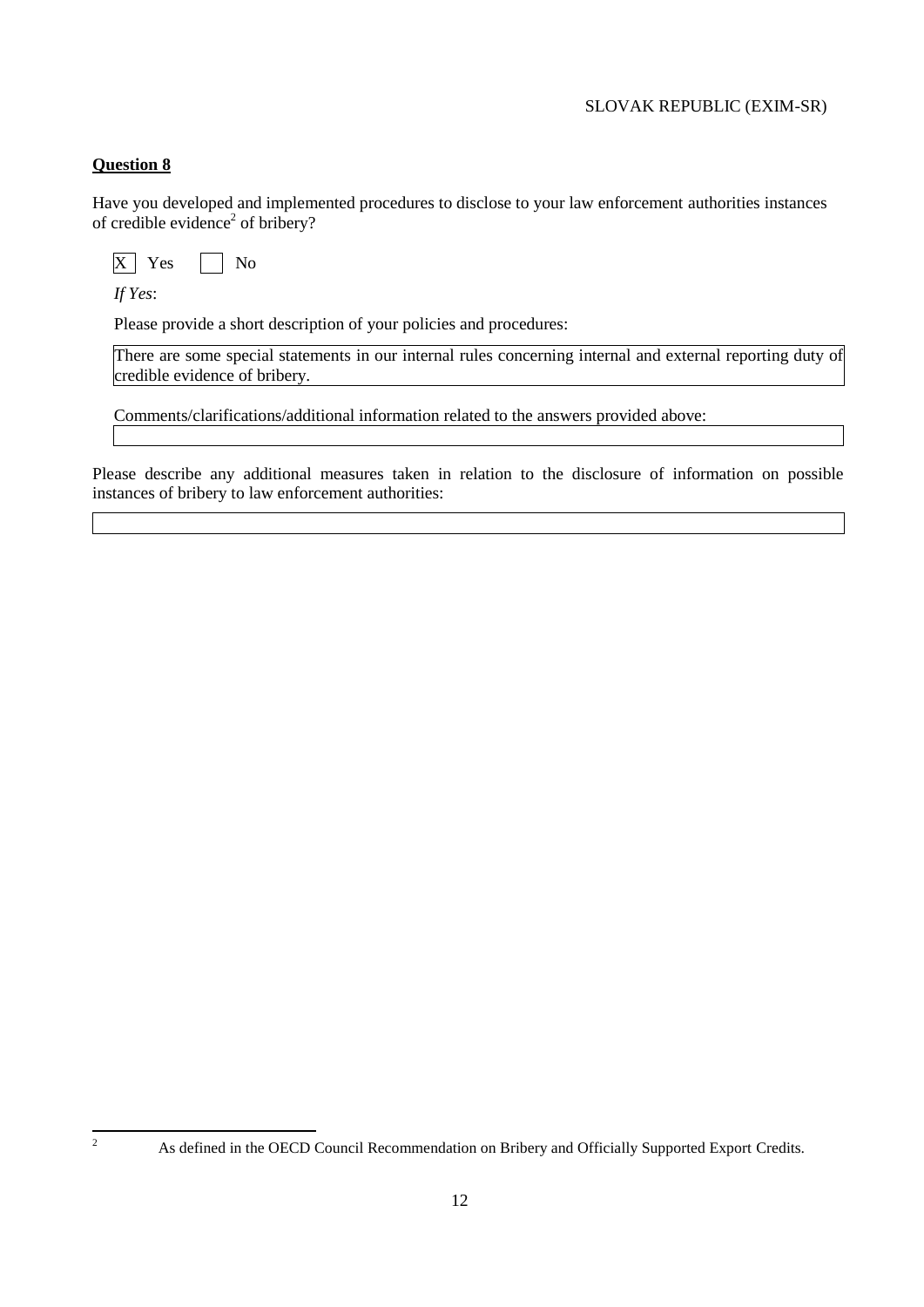# **Question 8**

Have you developed and implemented procedures to disclose to your law enforcement authorities instances of credible evidence<sup>2</sup> of bribery?

 $\overline{X}$  Yes  $\overline{\phantom{1}}$  No

*If Yes*:

Please provide a short description of your policies and procedures:

There are some special statements in our internal rules concerning internal and external reporting duty of credible evidence of bribery.

Comments/clarifications/additional information related to the answers provided above:

Please describe any additional measures taken in relation to the disclosure of information on possible instances of bribery to law enforcement authorities:

 $\overline{c}$ 

<sup>2</sup> As defined in the OECD Council Recommendation on Bribery and Officially Supported Export Credits.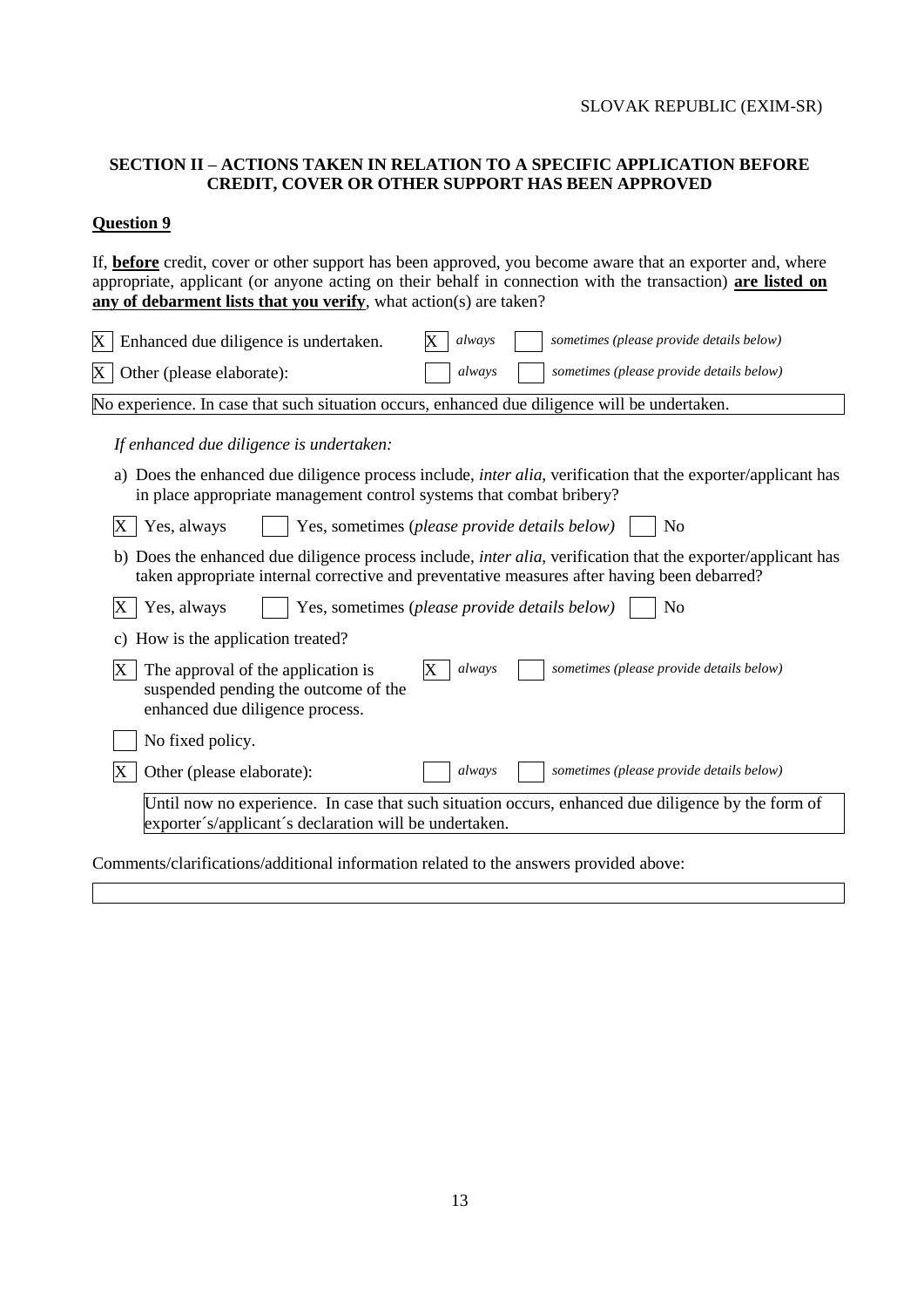# **SECTION II – ACTIONS TAKEN IN RELATION TO A SPECIFIC APPLICATION BEFORE CREDIT, COVER OR OTHER SUPPORT HAS BEEN APPROVED**

### **Question 9**

If, **before** credit, cover or other support has been approved, you become aware that an exporter and, where appropriate, applicant (or anyone acting on their behalf in connection with the transaction) **are listed on any of debarment lists that you verify**, what action(s) are taken?

| X<br>Enhanced due diligence is undertaken.<br>always<br>sometimes (please provide details below)                                                                                                                    |  |  |  |  |  |  |  |  |  |  |
|---------------------------------------------------------------------------------------------------------------------------------------------------------------------------------------------------------------------|--|--|--|--|--|--|--|--|--|--|
| sometimes (please provide details below)<br>always<br>Other (please elaborate):<br>X                                                                                                                                |  |  |  |  |  |  |  |  |  |  |
| No experience. In case that such situation occurs, enhanced due diligence will be undertaken.                                                                                                                       |  |  |  |  |  |  |  |  |  |  |
| If enhanced due diligence is undertaken:                                                                                                                                                                            |  |  |  |  |  |  |  |  |  |  |
| a) Does the enhanced due diligence process include, <i>inter alia</i> , verification that the exporter/applicant has<br>in place appropriate management control systems that combat bribery?                        |  |  |  |  |  |  |  |  |  |  |
| Yes, always<br>Yes, sometimes (please provide details below)<br>X<br>No                                                                                                                                             |  |  |  |  |  |  |  |  |  |  |
| b) Does the enhanced due diligence process include, <i>inter alia</i> , verification that the exporter/applicant has<br>taken appropriate internal corrective and preventative measures after having been debarred? |  |  |  |  |  |  |  |  |  |  |
| Yes, always<br>Yes, sometimes (please provide details below)<br>N <sub>0</sub><br>Х                                                                                                                                 |  |  |  |  |  |  |  |  |  |  |
| c) How is the application treated?                                                                                                                                                                                  |  |  |  |  |  |  |  |  |  |  |
| sometimes (please provide details below)<br>always<br>The approval of the application is<br>Х<br>suspended pending the outcome of the<br>enhanced due diligence process.                                            |  |  |  |  |  |  |  |  |  |  |
| No fixed policy.                                                                                                                                                                                                    |  |  |  |  |  |  |  |  |  |  |
| sometimes (please provide details below)<br>Other (please elaborate):<br>always                                                                                                                                     |  |  |  |  |  |  |  |  |  |  |
| Until now no experience. In case that such situation occurs, enhanced due diligence by the form of<br>exporter's/applicant's declaration will be undertaken.                                                        |  |  |  |  |  |  |  |  |  |  |
| Comments/clarifications/additional information related to the answers provided above:                                                                                                                               |  |  |  |  |  |  |  |  |  |  |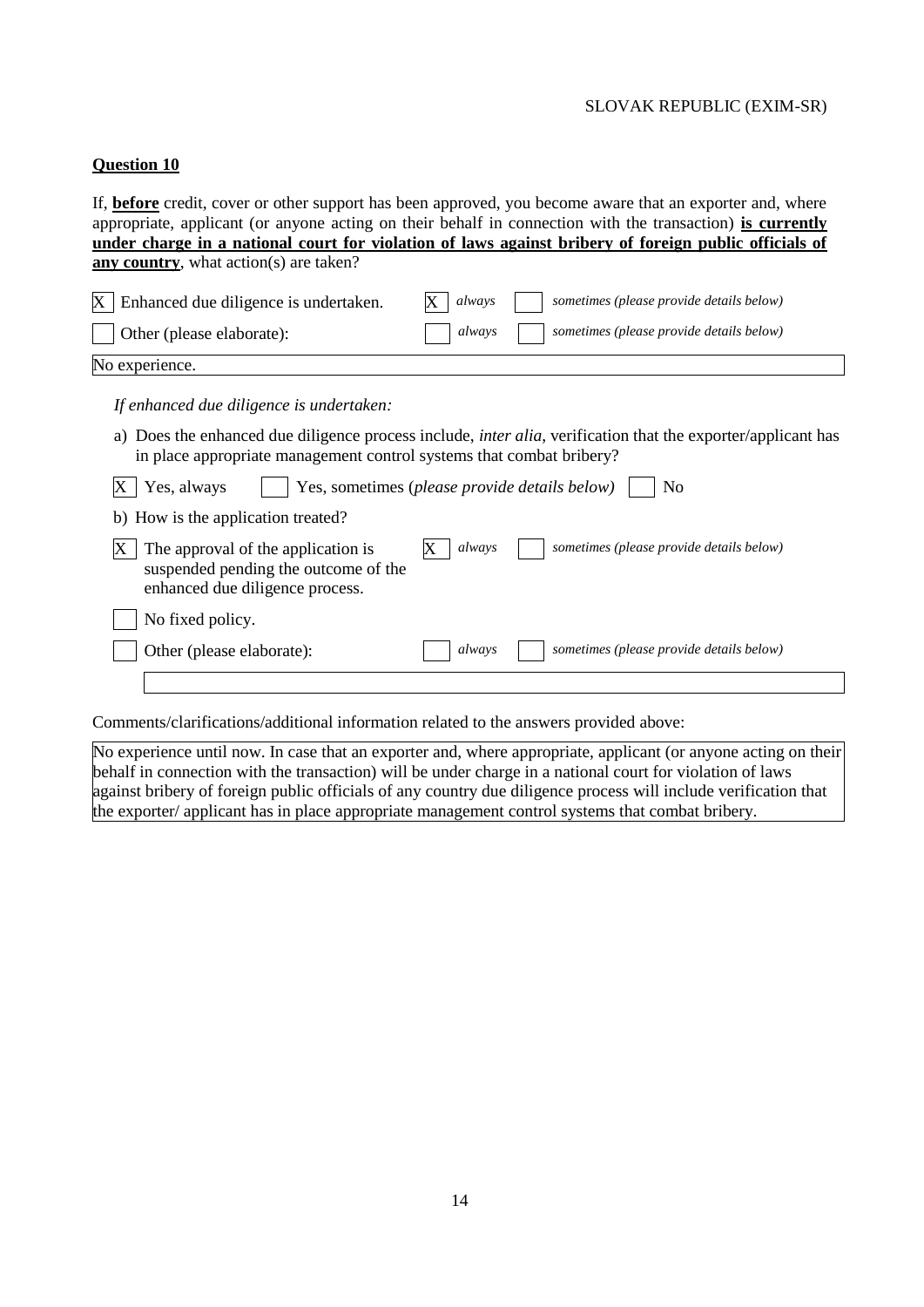#### **Question 10**

If, **before** credit, cover or other support has been approved, you become aware that an exporter and, where appropriate, applicant (or anyone acting on their behalf in connection with the transaction) **is currently under charge in a national court for violation of laws against bribery of foreign public officials of any country**, what action(s) are taken?  $\overline{X}$  Enhanced due diligence is undertaken.  $\overline{X}$  always  $\overline{X}$  sometimes (please provide details below) Other (please elaborate): *always sometimes (please provide details below)* No experience. *If enhanced due diligence is undertaken:* a) Does the enhanced due diligence process include, *inter alia*, verification that the exporter/applicant has in place appropriate management control systems that combat bribery?  $\overline{X}$  Yes, always  $\overline{Y}$  Yes, sometimes (*please provide details below*)  $\overline{Y}$  No b) How is the application treated?  $X$  The approval of the application is suspended pending the outcome of the enhanced due diligence process. X *always sometimes (please provide details below)* No fixed policy. Other (please elaborate): *always sometimes (please provide details below)* 

Comments/clarifications/additional information related to the answers provided above:

No experience until now. In case that an exporter and, where appropriate, applicant (or anyone acting on their behalf in connection with the transaction) will be under charge in a national court for violation of laws against bribery of foreign public officials of any country due diligence process will include verification that the exporter/ applicant has in place appropriate management control systems that combat bribery.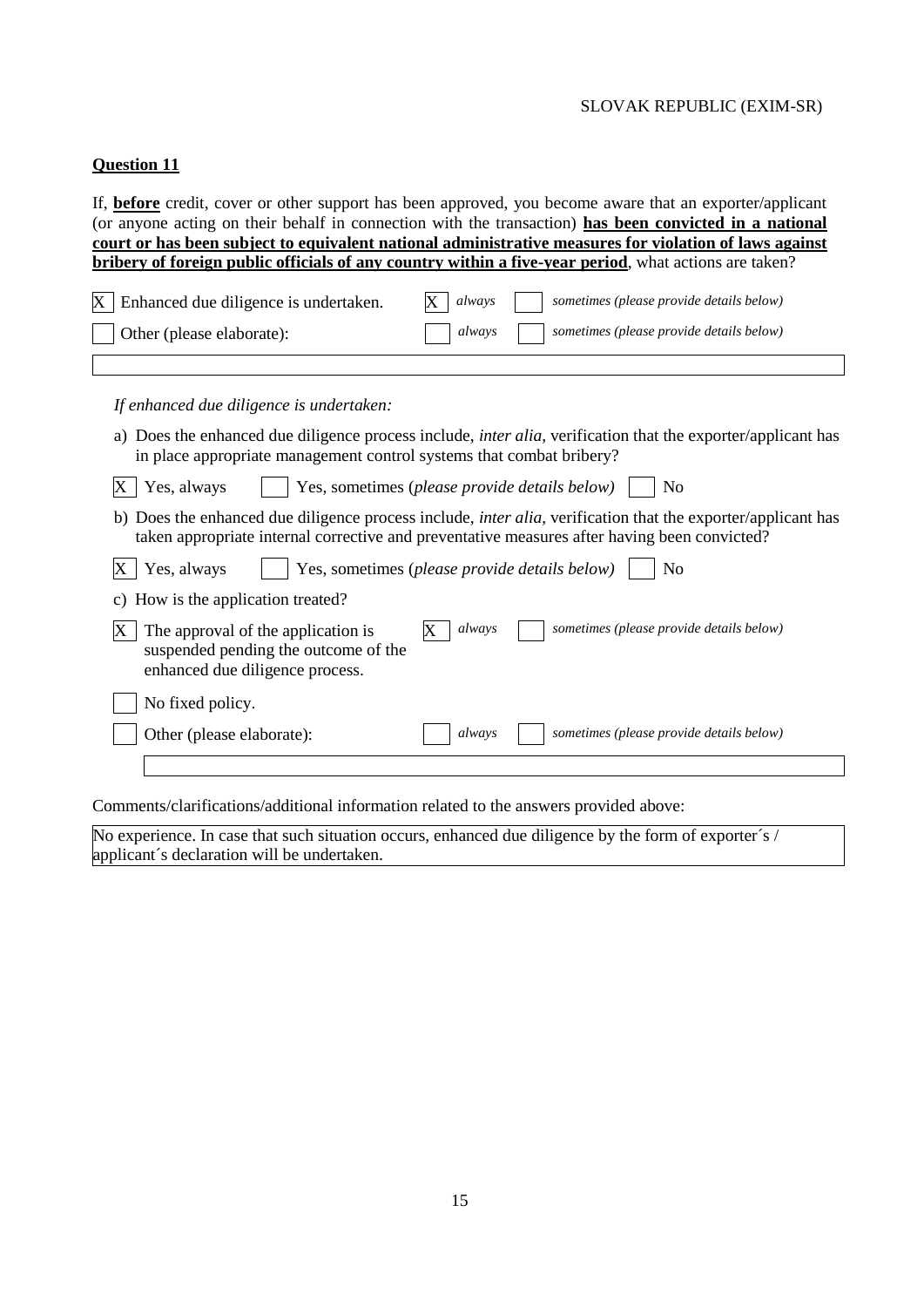### **Question 11**

If, **before** credit, cover or other support has been approved, you become aware that an exporter/applicant (or anyone acting on their behalf in connection with the transaction) **has been convicted in a national court or has been subject to equivalent national administrative measures for violation of laws against bribery of foreign public officials of any country within a five-year period**, what actions are taken?

| $X$   Enhanced due diligence is undertaken. | sometimes (please provide details below)<br>$X$ always    |
|---------------------------------------------|-----------------------------------------------------------|
| Other (please elaborate):                   | sometimes (please provide details below)<br><i>always</i> |
|                                             |                                                           |

*If enhanced due diligence is undertaken:*

a) Does the enhanced due diligence process include, *inter alia*, verification that the exporter/applicant has in place appropriate management control systems that combat bribery?

| X Yes, always                                                                                                        | $\vert$ Yes, sometimes (please provide details below) $\vert$ No |  |  |  |
|----------------------------------------------------------------------------------------------------------------------|------------------------------------------------------------------|--|--|--|
| b) Does the enhanced due diligence process include, <i>inter alia</i> , verification that the exporter/applicant has |                                                                  |  |  |  |

taken appropriate internal corrective and preventative measures after having been convicted?

|  | X   Yes, always | $\mid$ Yes, sometimes ( <i>please provide details below</i> ) $\mid$ |  | $\overline{\phantom{a}}$ No |
|--|-----------------|----------------------------------------------------------------------|--|-----------------------------|
|--|-----------------|----------------------------------------------------------------------|--|-----------------------------|

|               |  | c) How is the application treated? |  |
|---------------|--|------------------------------------|--|
| $\overline{}$ |  |                                    |  |

| X | The approval of the application is                                      | always | sometimes (please provide details below) |
|---|-------------------------------------------------------------------------|--------|------------------------------------------|
|   | suspended pending the outcome of the<br>enhanced due diligence process. |        |                                          |
|   | No fixed policy.                                                        |        |                                          |
|   | Other (please elaborate):                                               | always | sometimes (please provide details below) |

Comments/clarifications/additional information related to the answers provided above:

No experience. In case that such situation occurs, enhanced due diligence by the form of exporter's / applicant´s declaration will be undertaken.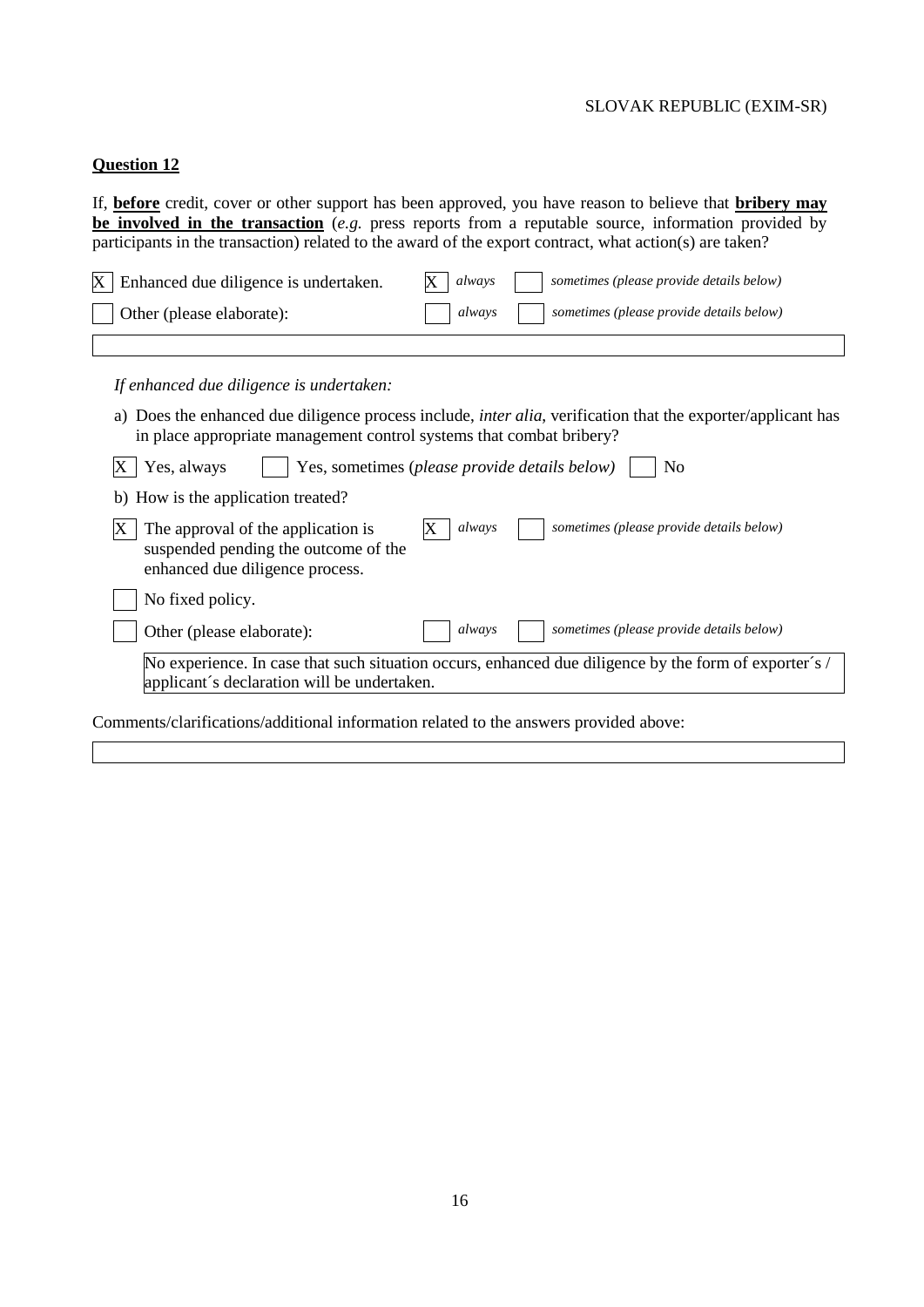#### **Question 12**

If, **before** credit, cover or other support has been approved, you have reason to believe that **bribery may be involved in the transaction** (*e.g.* press reports from a reputable source, information provided by participants in the transaction) related to the award of the export contract, what action(s) are taken?

| $X$ Enhanced due diligence is undertaken. | sometimes (please provide details below)<br>$X$ always |
|-------------------------------------------|--------------------------------------------------------|
| $\vert$ Other (please elaborate):         | always     sometimes (please provide details below)    |
|                                           |                                                        |

*If enhanced due diligence is undertaken:*

a) Does the enhanced due diligence process include, *inter alia*, verification that the exporter/applicant has in place appropriate management control systems that combat bribery?

| Yes, always                                                                                                   | Yes, sometimes (please provide details below)<br>No                                                   |
|---------------------------------------------------------------------------------------------------------------|-------------------------------------------------------------------------------------------------------|
| b) How is the application treated?                                                                            |                                                                                                       |
| The approval of the application is<br>suspended pending the outcome of the<br>enhanced due diligence process. | sometimes (please provide details below)<br>always                                                    |
| No fixed policy.                                                                                              |                                                                                                       |
| Other (please elaborate):                                                                                     | sometimes (please provide details below)<br>always                                                    |
| applicant's declaration will be undertaken.                                                                   | No experience. In case that such situation occurs, enhanced due diligence by the form of exporter's / |
| Comments/clarifications/additional information related to the answers provided above:                         |                                                                                                       |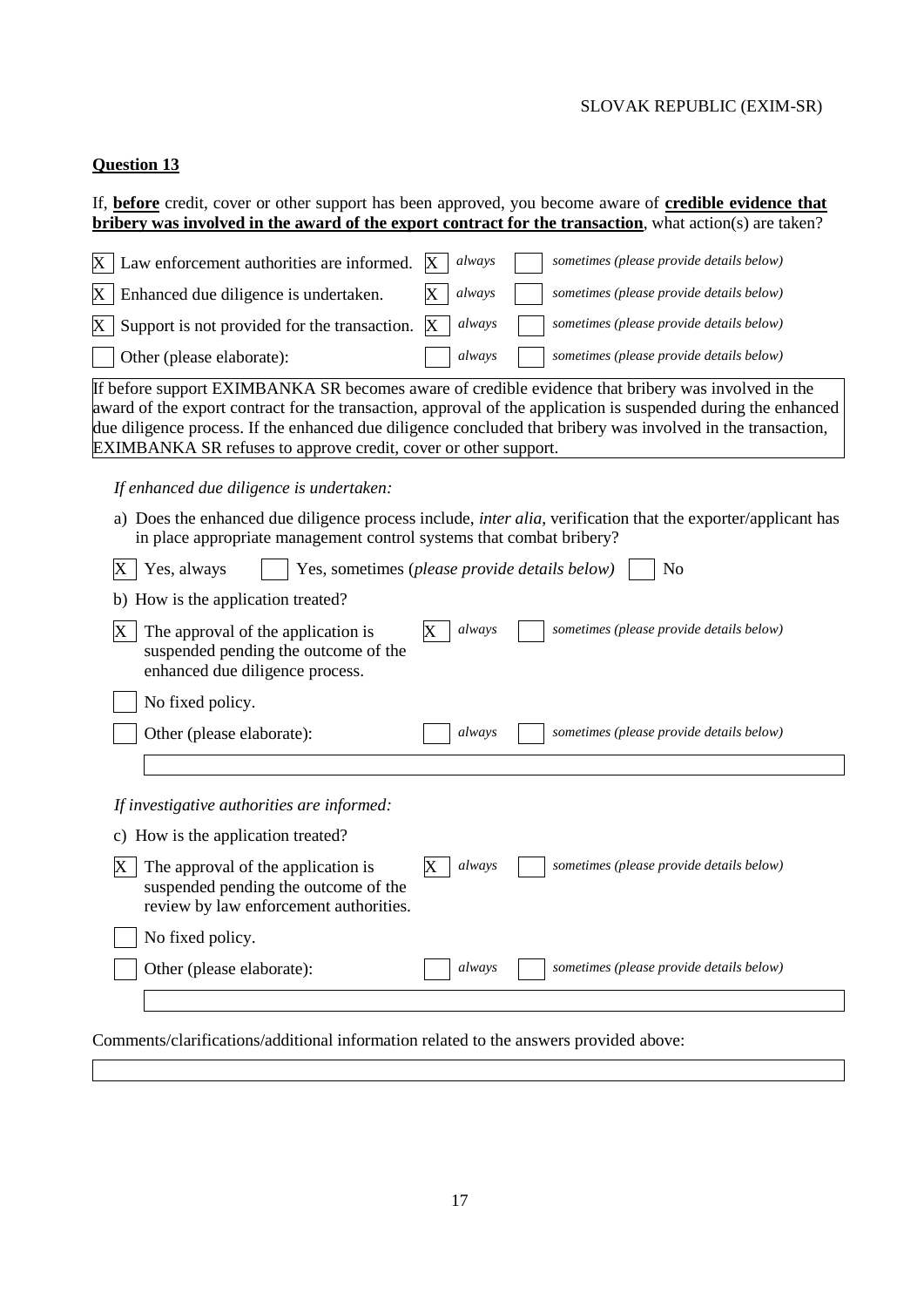# **Question 13**

If, **before** credit, cover or other support has been approved, you become aware of **credible evidence that bribery was involved in the award of the export contract for the transaction**, what action(s) are taken?

| $\mathbf{X}^{\top}$         | Law enforcement authorities are informed.                                                                            | X | always | sometimes (please provide details below)                                                                                                                                                                                                                                                                                             |
|-----------------------------|----------------------------------------------------------------------------------------------------------------------|---|--------|--------------------------------------------------------------------------------------------------------------------------------------------------------------------------------------------------------------------------------------------------------------------------------------------------------------------------------------|
| $\boldsymbol{\mathrm{X}}$ . | Enhanced due diligence is undertaken.                                                                                |   | always | sometimes (please provide details below)                                                                                                                                                                                                                                                                                             |
| $\mathbf{X}^{\top}$         | Support is not provided for the transaction.                                                                         | X | always | sometimes (please provide details below)                                                                                                                                                                                                                                                                                             |
|                             | Other (please elaborate):                                                                                            |   | always | sometimes (please provide details below)                                                                                                                                                                                                                                                                                             |
|                             | EXIMBANKA SR refuses to approve credit, cover or other support.                                                      |   |        | If before support EXIMBANKA SR becomes aware of credible evidence that bribery was involved in the<br>award of the export contract for the transaction, approval of the application is suspended during the enhanced<br>due diligence process. If the enhanced due diligence concluded that bribery was involved in the transaction, |
|                             | If enhanced due diligence is undertaken:                                                                             |   |        |                                                                                                                                                                                                                                                                                                                                      |
|                             | in place appropriate management control systems that combat bribery?                                                 |   |        | a) Does the enhanced due diligence process include, <i>inter alia</i> , verification that the exporter/applicant has                                                                                                                                                                                                                 |
| $X \mid$ Yes, always        | Yes, sometimes (please provide details below)                                                                        |   |        | No                                                                                                                                                                                                                                                                                                                                   |
|                             | b) How is the application treated?                                                                                   |   |        |                                                                                                                                                                                                                                                                                                                                      |
| X                           | The approval of the application is<br>suspended pending the outcome of the<br>enhanced due diligence process.        |   | always | sometimes (please provide details below)                                                                                                                                                                                                                                                                                             |
|                             | No fixed policy.                                                                                                     |   |        |                                                                                                                                                                                                                                                                                                                                      |
|                             | Other (please elaborate):                                                                                            |   | always | sometimes (please provide details below)                                                                                                                                                                                                                                                                                             |
|                             |                                                                                                                      |   |        |                                                                                                                                                                                                                                                                                                                                      |
|                             | If investigative authorities are informed:                                                                           |   |        |                                                                                                                                                                                                                                                                                                                                      |
|                             | c) How is the application treated?                                                                                   |   |        |                                                                                                                                                                                                                                                                                                                                      |
| X                           | The approval of the application is<br>suspended pending the outcome of the<br>review by law enforcement authorities. | Х | always | sometimes (please provide details below)                                                                                                                                                                                                                                                                                             |
|                             | No fixed policy.                                                                                                     |   |        |                                                                                                                                                                                                                                                                                                                                      |
|                             | Other (please elaborate):                                                                                            |   | always | sometimes (please provide details below)                                                                                                                                                                                                                                                                                             |
|                             |                                                                                                                      |   |        |                                                                                                                                                                                                                                                                                                                                      |

Comments/clarifications/additional information related to the answers provided above: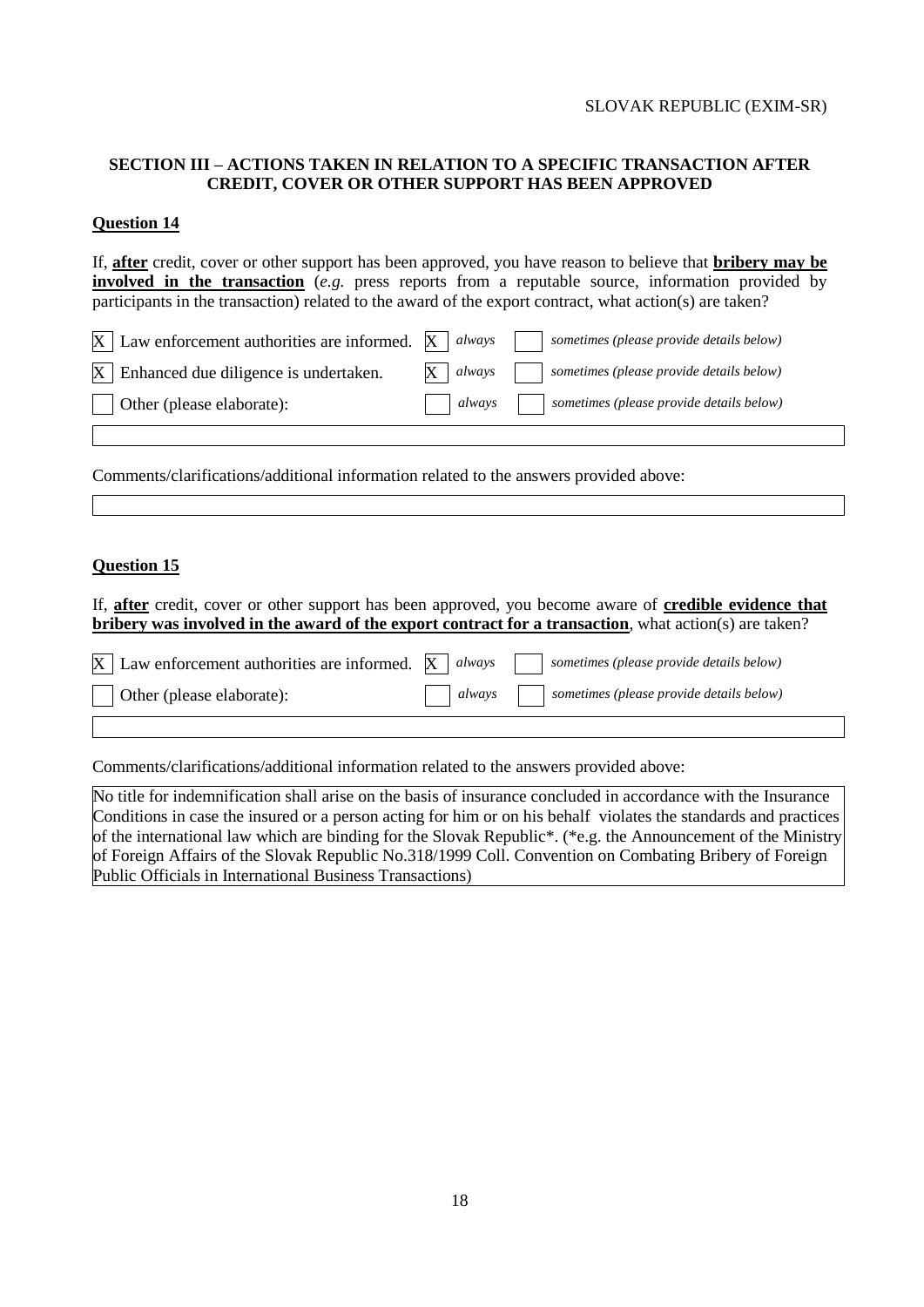### **SECTION III – ACTIONS TAKEN IN RELATION TO A SPECIFIC TRANSACTION AFTER CREDIT, COVER OR OTHER SUPPORT HAS BEEN APPROVED**

### **Question 14**

If, **after** credit, cover or other support has been approved, you have reason to believe that **bribery may be involved in the transaction** (*e.g.* press reports from a reputable source, information provided by participants in the transaction) related to the award of the export contract, what action(s) are taken?

| $X \mid$ Law enforcement authorities are informed. $X \mid$ always |  | sometimes (please provide details below)                           |
|--------------------------------------------------------------------|--|--------------------------------------------------------------------|
| $X$ Enhanced due diligence is undertaken.                          |  | $\mathbf{X}$   always     sometimes (please provide details below) |
| $\vert$ Other (please elaborate):                                  |  | always   sometimes (please provide details below)                  |

Comments/clarifications/additional information related to the answers provided above:

#### **Question 15**

If, **after** credit, cover or other support has been approved, you become aware of **credible evidence that bribery was involved in the award of the export contract for a transaction**, what action(s) are taken?

|                                   | $\overline{X}$ Law enforcement authorities are informed. $\overline{X}$ always<br>sometimes (please provide details below) |
|-----------------------------------|----------------------------------------------------------------------------------------------------------------------------|
| $\vert$ Other (please elaborate): | always   sometimes (please provide details below)                                                                          |

Comments/clarifications/additional information related to the answers provided above:

No title for indemnification shall arise on the basis of insurance concluded in accordance with the Insurance Conditions in case the insured or a person acting for him or on his behalf violates the standards and practices of the international law which are binding for the Slovak Republic\*. (\*e.g. the Announcement of the Ministry of Foreign Affairs of the Slovak Republic No.318/1999 Coll. Convention on Combating Bribery of Foreign Public Officials in International Business Transactions)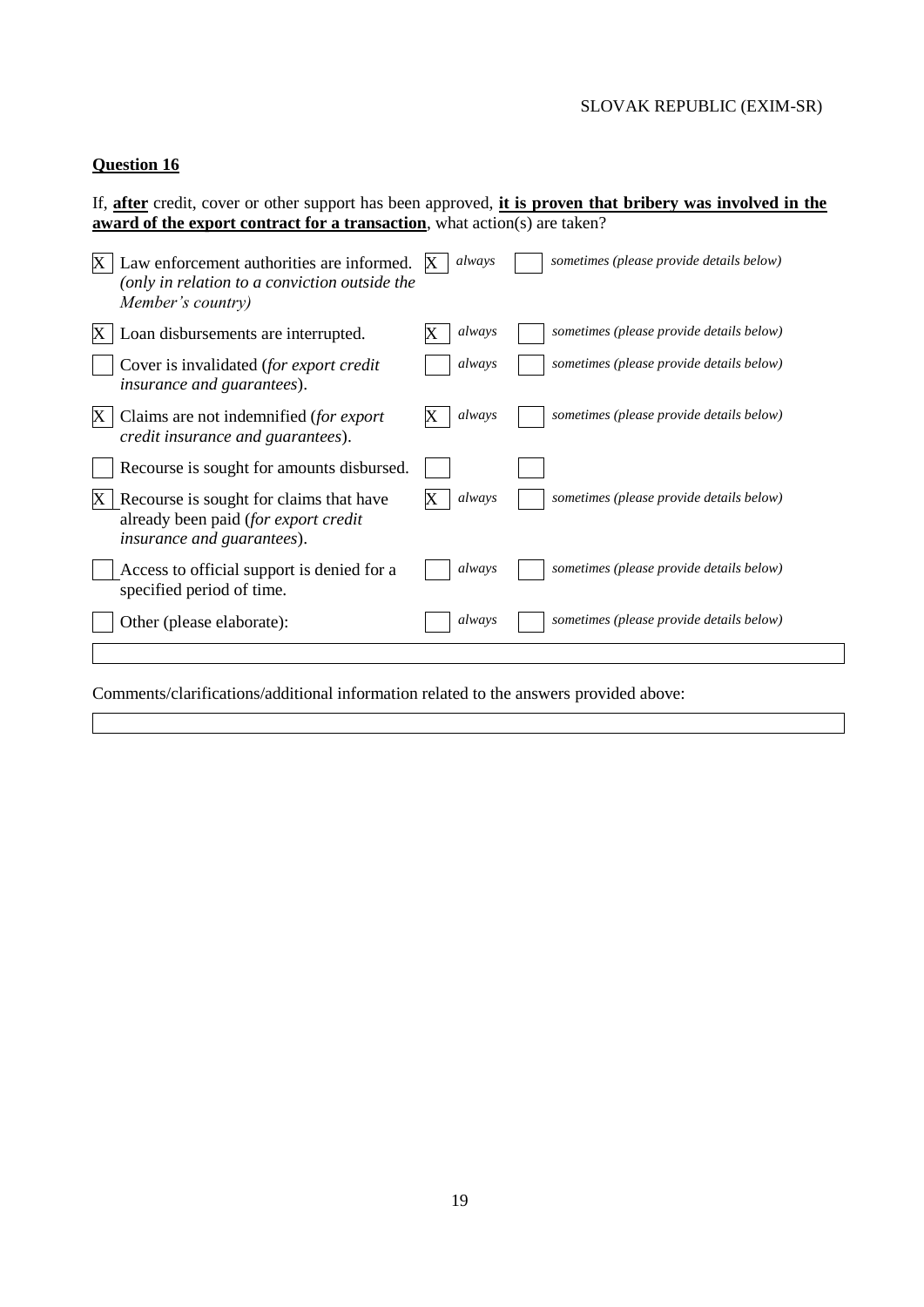# **Question 16**

If, **after** credit, cover or other support has been approved, **it is proven that bribery was involved in the award of the export contract for a transaction**, what action(s) are taken?

|    | Law enforcement authorities are informed.<br>(only in relation to a conviction outside the<br>Member's country)       | always | sometimes (please provide details below) |
|----|-----------------------------------------------------------------------------------------------------------------------|--------|------------------------------------------|
| X. | Loan disbursements are interrupted.                                                                                   | always | sometimes (please provide details below) |
|    | Cover is invalidated (for export credit<br><i>insurance and guarantees</i> ).                                         | always | sometimes (please provide details below) |
| X  | Claims are not indemnified (for export<br>credit insurance and guarantees).                                           | always | sometimes (please provide details below) |
|    | Recourse is sought for amounts disbursed.                                                                             |        |                                          |
|    | Recourse is sought for claims that have<br>already been paid (for export credit<br><i>insurance and guarantees</i> ). | always | sometimes (please provide details below) |
|    | Access to official support is denied for a<br>specified period of time.                                               | always | sometimes (please provide details below) |
|    | Other (please elaborate):                                                                                             | always | sometimes (please provide details below) |
|    |                                                                                                                       |        |                                          |

Comments/clarifications/additional information related to the answers provided above: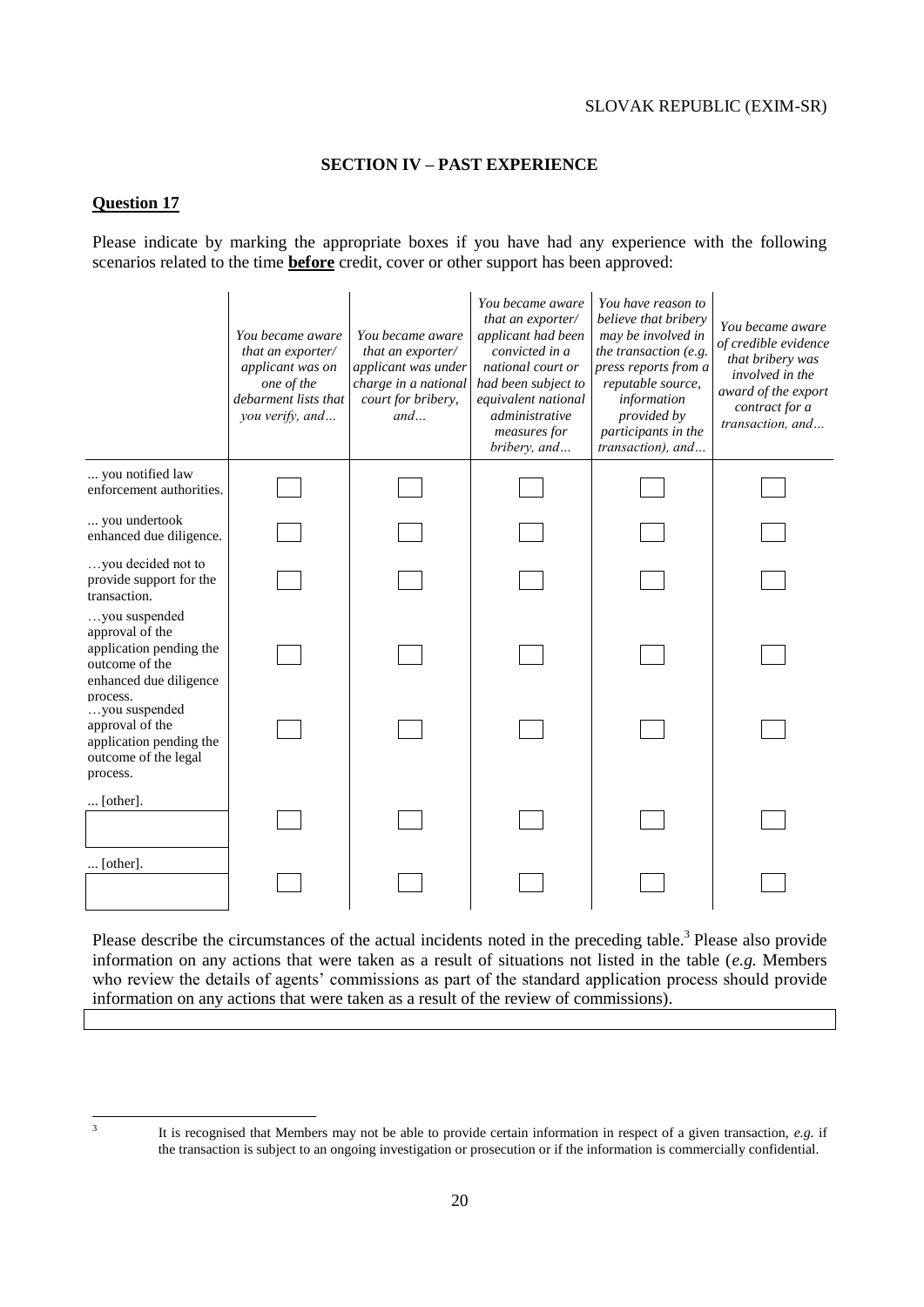### **SECTION IV – PAST EXPERIENCE**

#### **Question 17**

Please indicate by marking the appropriate boxes if you have had any experience with the following scenarios related to the time **before** credit, cover or other support has been approved:

|                                                                                                                     | You became aware<br>that an exporter/<br>applicant was on<br>one of the<br>debarment lists that<br>you verify, and | You became aware<br>that an exporter/<br>applicant was under<br>charge in a national<br>court for bribery,<br>and | You became aware<br>that an exporter/<br>applicant had been<br>convicted in a<br>national court or<br>had been subject to<br>equivalent national<br>administrative<br>measures for<br>bribery, and | You have reason to<br>believe that bribery<br>may be involved in<br>the transaction (e.g.<br>press reports from a<br>reputable source,<br>information<br>provided by<br>participants in the<br>transaction), and | You became aware<br>of credible evidence<br>that bribery was<br>involved in the<br>award of the export<br>contract for a<br>transaction, and |
|---------------------------------------------------------------------------------------------------------------------|--------------------------------------------------------------------------------------------------------------------|-------------------------------------------------------------------------------------------------------------------|----------------------------------------------------------------------------------------------------------------------------------------------------------------------------------------------------|------------------------------------------------------------------------------------------------------------------------------------------------------------------------------------------------------------------|----------------------------------------------------------------------------------------------------------------------------------------------|
| you notified law<br>enforcement authorities.                                                                        |                                                                                                                    |                                                                                                                   |                                                                                                                                                                                                    |                                                                                                                                                                                                                  |                                                                                                                                              |
| you undertook<br>enhanced due diligence.                                                                            |                                                                                                                    |                                                                                                                   |                                                                                                                                                                                                    |                                                                                                                                                                                                                  |                                                                                                                                              |
| you decided not to<br>provide support for the<br>transaction.                                                       |                                                                                                                    |                                                                                                                   |                                                                                                                                                                                                    |                                                                                                                                                                                                                  |                                                                                                                                              |
| you suspended<br>approval of the<br>application pending the<br>outcome of the<br>enhanced due diligence<br>process. |                                                                                                                    |                                                                                                                   |                                                                                                                                                                                                    |                                                                                                                                                                                                                  |                                                                                                                                              |
| you suspended<br>approval of the<br>application pending the<br>outcome of the legal<br>process.                     |                                                                                                                    |                                                                                                                   |                                                                                                                                                                                                    |                                                                                                                                                                                                                  |                                                                                                                                              |
| $\ldots$ [other].                                                                                                   |                                                                                                                    |                                                                                                                   |                                                                                                                                                                                                    |                                                                                                                                                                                                                  |                                                                                                                                              |
| $\ldots$ [other].                                                                                                   |                                                                                                                    |                                                                                                                   |                                                                                                                                                                                                    |                                                                                                                                                                                                                  |                                                                                                                                              |

Please describe the circumstances of the actual incidents noted in the preceding table.<sup>3</sup> Please also provide information on any actions that were taken as a result of situations not listed in the table (*e.g.* Members who review the details of agents' commissions as part of the standard application process should provide information on any actions that were taken as a result of the review of commissions).

 3

It is recognised that Members may not be able to provide certain information in respect of a given transaction, *e.g.* if the transaction is subject to an ongoing investigation or prosecution or if the information is commercially confidential.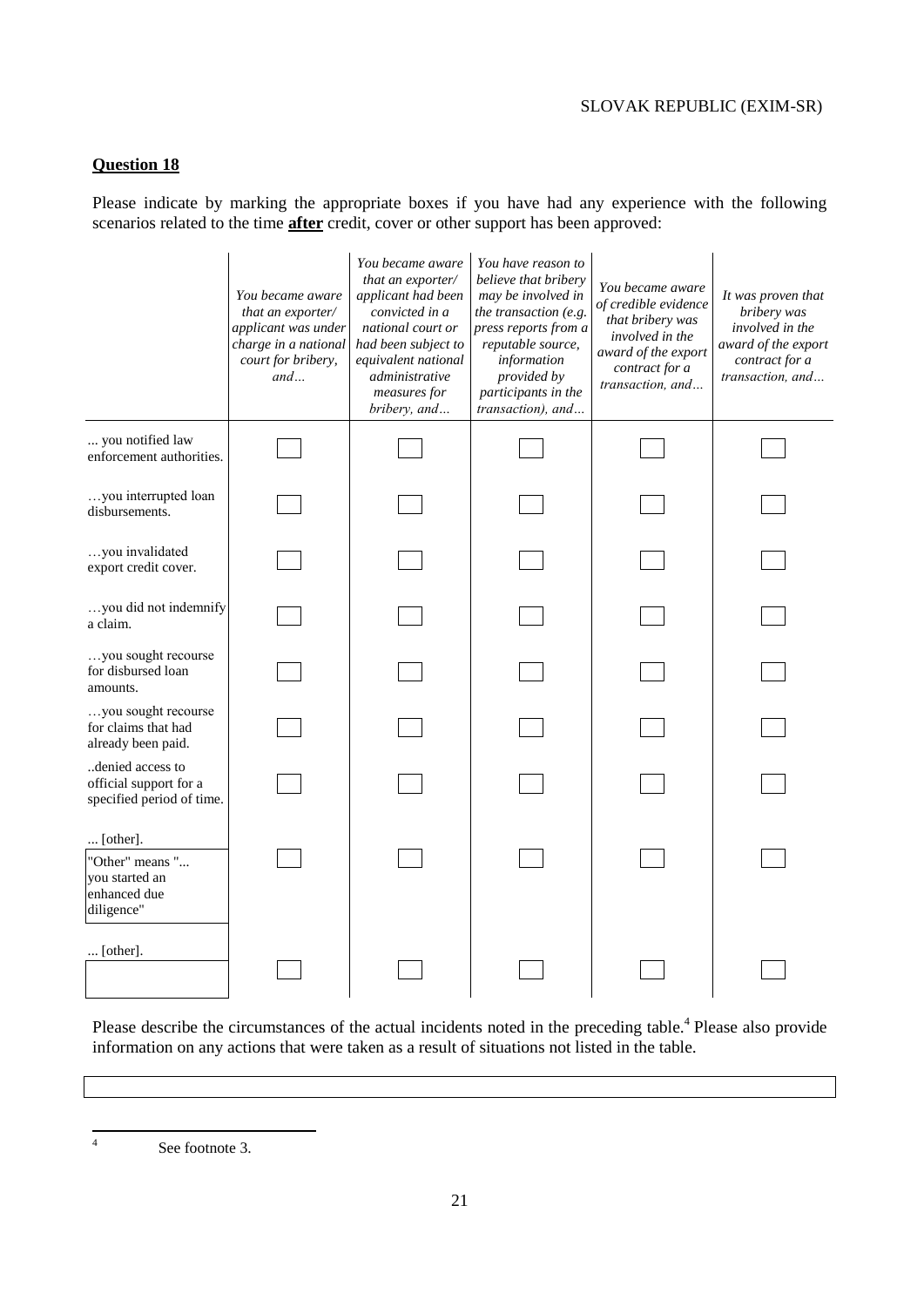# **Question 18**

Please indicate by marking the appropriate boxes if you have had any experience with the following scenarios related to the time **after** credit, cover or other support has been approved:

|                                                                             | You became aware<br>that an exporter/<br>applicant was under<br>charge in a national<br>court for bribery,<br>and | You became aware<br>that an exporter/<br>applicant had been<br>convicted in a<br>national court or<br>had been subject to<br>equivalent national<br>administrative<br>measures for<br>bribery, and | You have reason to<br>believe that bribery<br>may be involved in<br>the transaction (e.g.<br>press reports from a<br>reputable source,<br>information<br>provided by<br>participants in the<br>transaction), and | You became aware<br>of credible evidence<br>that bribery was<br>involved in the<br>award of the export<br>contract for a<br>transaction, and | It was proven that<br>bribery was<br>involved in the<br>award of the export<br>contract for a<br>transaction, and |
|-----------------------------------------------------------------------------|-------------------------------------------------------------------------------------------------------------------|----------------------------------------------------------------------------------------------------------------------------------------------------------------------------------------------------|------------------------------------------------------------------------------------------------------------------------------------------------------------------------------------------------------------------|----------------------------------------------------------------------------------------------------------------------------------------------|-------------------------------------------------------------------------------------------------------------------|
| you notified law<br>enforcement authorities.                                |                                                                                                                   |                                                                                                                                                                                                    |                                                                                                                                                                                                                  |                                                                                                                                              |                                                                                                                   |
| you interrupted loan<br>disbursements.                                      |                                                                                                                   |                                                                                                                                                                                                    |                                                                                                                                                                                                                  |                                                                                                                                              |                                                                                                                   |
| $\ldots$ you invalidated<br>export credit cover.                            |                                                                                                                   |                                                                                                                                                                                                    |                                                                                                                                                                                                                  |                                                                                                                                              |                                                                                                                   |
| you did not indemnify<br>a claim.                                           |                                                                                                                   |                                                                                                                                                                                                    |                                                                                                                                                                                                                  |                                                                                                                                              |                                                                                                                   |
| you sought recourse<br>for disbursed loan<br>amounts.                       |                                                                                                                   |                                                                                                                                                                                                    |                                                                                                                                                                                                                  |                                                                                                                                              |                                                                                                                   |
| you sought recourse<br>for claims that had<br>already been paid.            |                                                                                                                   |                                                                                                                                                                                                    |                                                                                                                                                                                                                  |                                                                                                                                              |                                                                                                                   |
| denied access to<br>official support for a<br>specified period of time.     |                                                                                                                   |                                                                                                                                                                                                    |                                                                                                                                                                                                                  |                                                                                                                                              |                                                                                                                   |
| [other].<br>"Other" means "<br>you started an<br>enhanced due<br>diligence" |                                                                                                                   |                                                                                                                                                                                                    |                                                                                                                                                                                                                  |                                                                                                                                              |                                                                                                                   |
| $\ldots$ [other].                                                           |                                                                                                                   |                                                                                                                                                                                                    |                                                                                                                                                                                                                  |                                                                                                                                              |                                                                                                                   |

Please describe the circumstances of the actual incidents noted in the preceding table.<sup>4</sup> Please also provide information on any actions that were taken as a result of situations not listed in the table.

 $\frac{1}{4}$ 

See footnote 3.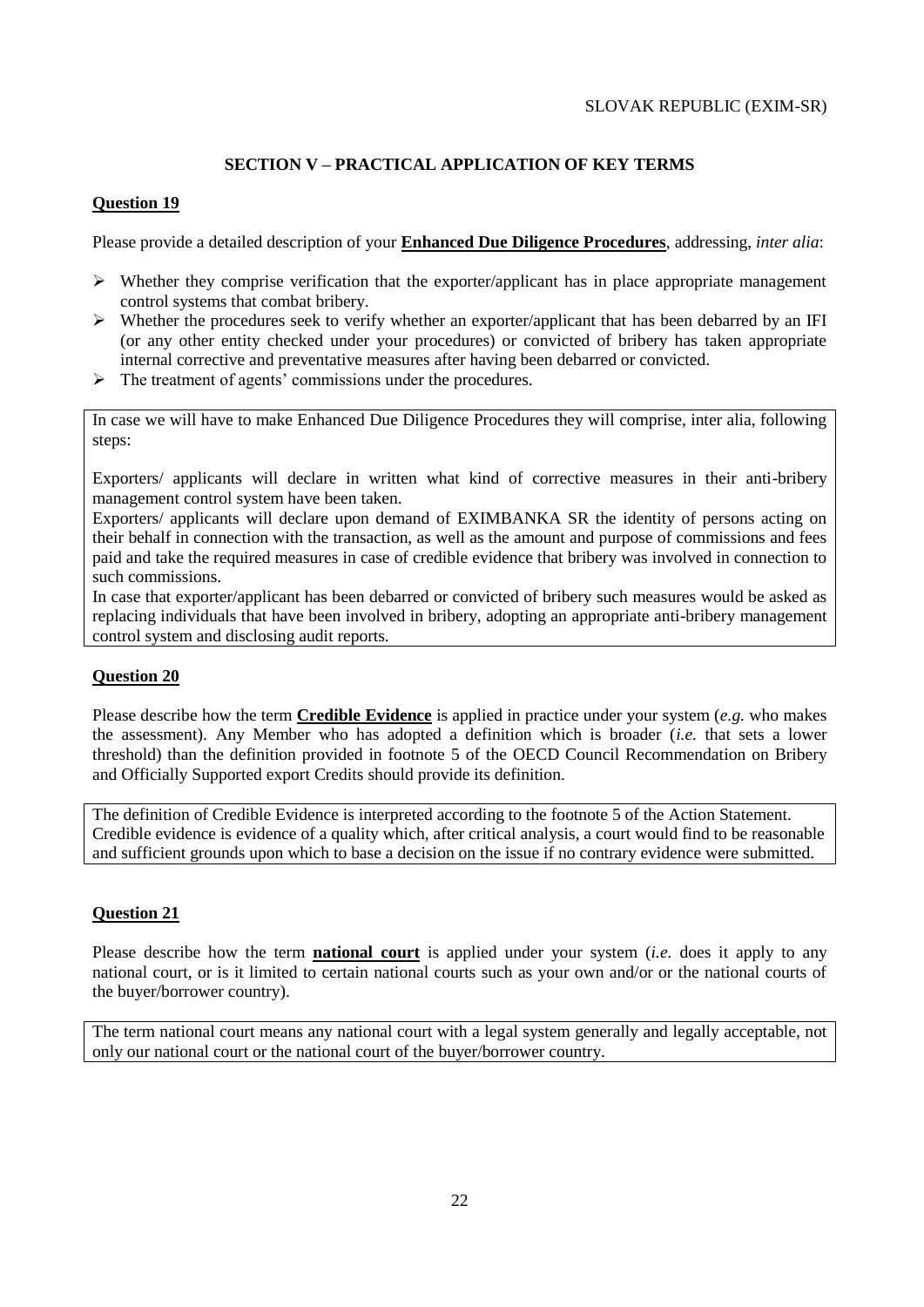# **SECTION V – PRACTICAL APPLICATION OF KEY TERMS**

### **Question 19**

Please provide a detailed description of your **Enhanced Due Diligence Procedures**, addressing, *inter alia*:

- $\triangleright$  Whether they comprise verification that the exporter/applicant has in place appropriate management control systems that combat bribery.
- $\triangleright$  Whether the procedures seek to verify whether an exporter/applicant that has been debarred by an IFI (or any other entity checked under your procedures) or convicted of bribery has taken appropriate internal corrective and preventative measures after having been debarred or convicted.
- $\triangleright$  The treatment of agents' commissions under the procedures.

In case we will have to make Enhanced Due Diligence Procedures they will comprise, inter alia, following steps:

Exporters/ applicants will declare in written what kind of corrective measures in their anti-bribery management control system have been taken.

Exporters/ applicants will declare upon demand of EXIMBANKA SR the identity of persons acting on their behalf in connection with the transaction, as well as the amount and purpose of commissions and fees paid and take the required measures in case of credible evidence that bribery was involved in connection to such commissions.

In case that exporter/applicant has been debarred or convicted of bribery such measures would be asked as replacing individuals that have been involved in bribery, adopting an appropriate anti-bribery management control system and disclosing audit reports.

### **Question 20**

Please describe how the term **Credible Evidence** is applied in practice under your system (*e.g.* who makes the assessment). Any Member who has adopted a definition which is broader (*i.e.* that sets a lower threshold) than the definition provided in footnote 5 of the OECD Council Recommendation on Bribery and Officially Supported export Credits should provide its definition.

The definition of Credible Evidence is interpreted according to the footnote 5 of the Action Statement. Credible evidence is evidence of a quality which, after critical analysis, a court would find to be reasonable and sufficient grounds upon which to base a decision on the issue if no contrary evidence were submitted.

### **Question 21**

Please describe how the term **national court** is applied under your system (*i.e.* does it apply to any national court, or is it limited to certain national courts such as your own and/or or the national courts of the buyer/borrower country).

The term national court means any national court with a legal system generally and legally acceptable, not only our national court or the national court of the buyer/borrower country.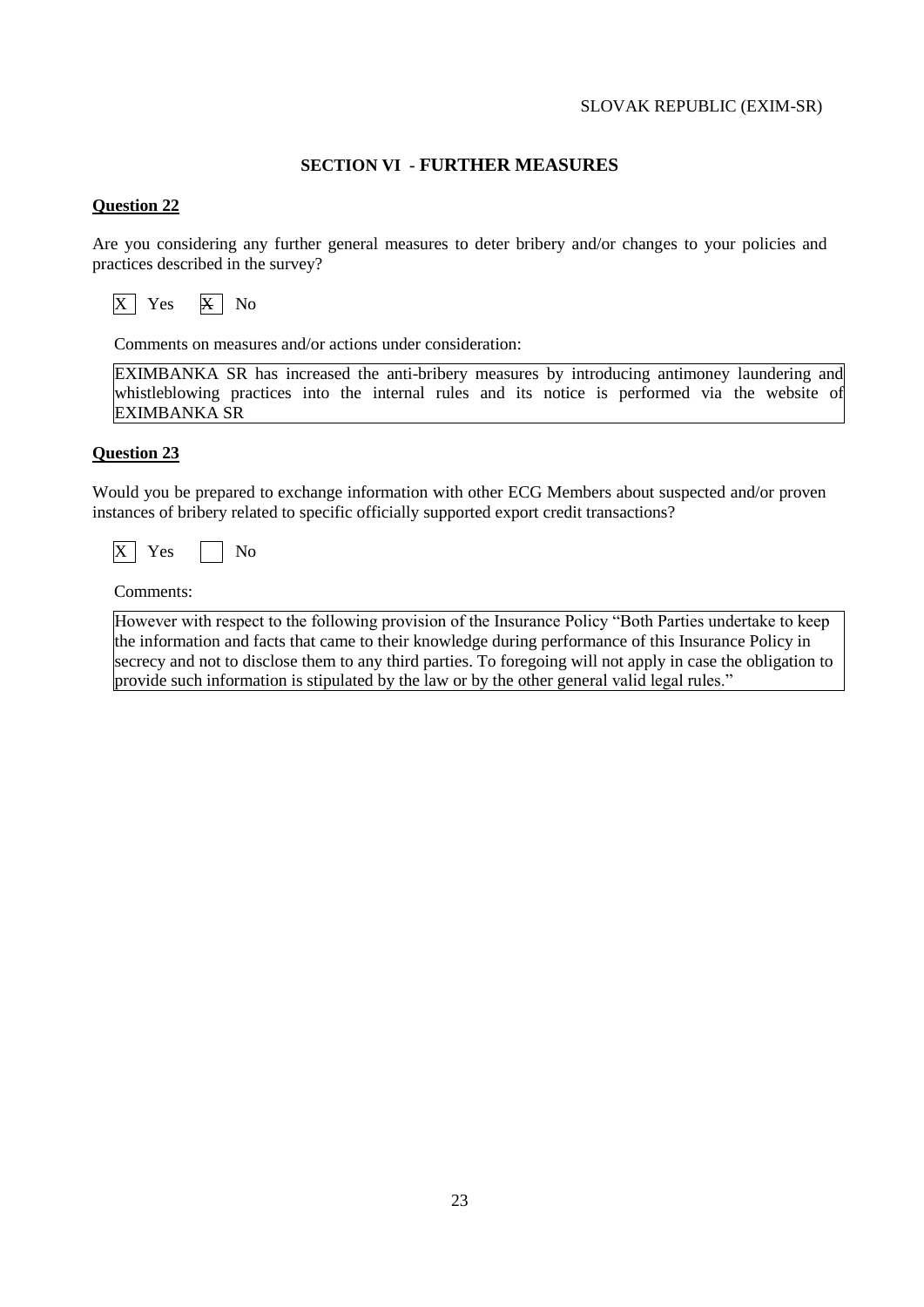### **SECTION VI - FURTHER MEASURES**

#### **Question 22**

Are you considering any further general measures to deter bribery and/or changes to your policies and practices described in the survey?



Comments on measures and/or actions under consideration:

EXIMBANKA SR has increased the anti-bribery measures by introducing antimoney laundering and whistleblowing practices into the internal rules and its notice is performed via the website of EXIMBANKA SR

#### **Question 23**

Would you be prepared to exchange information with other ECG Members about suspected and/or proven instances of bribery related to specific officially supported export credit transactions?



Comments:

However with respect to the following provision of the Insurance Policy "Both Parties undertake to keep the information and facts that came to their knowledge during performance of this Insurance Policy in secrecy and not to disclose them to any third parties. To foregoing will not apply in case the obligation to provide such information is stipulated by the law or by the other general valid legal rules."